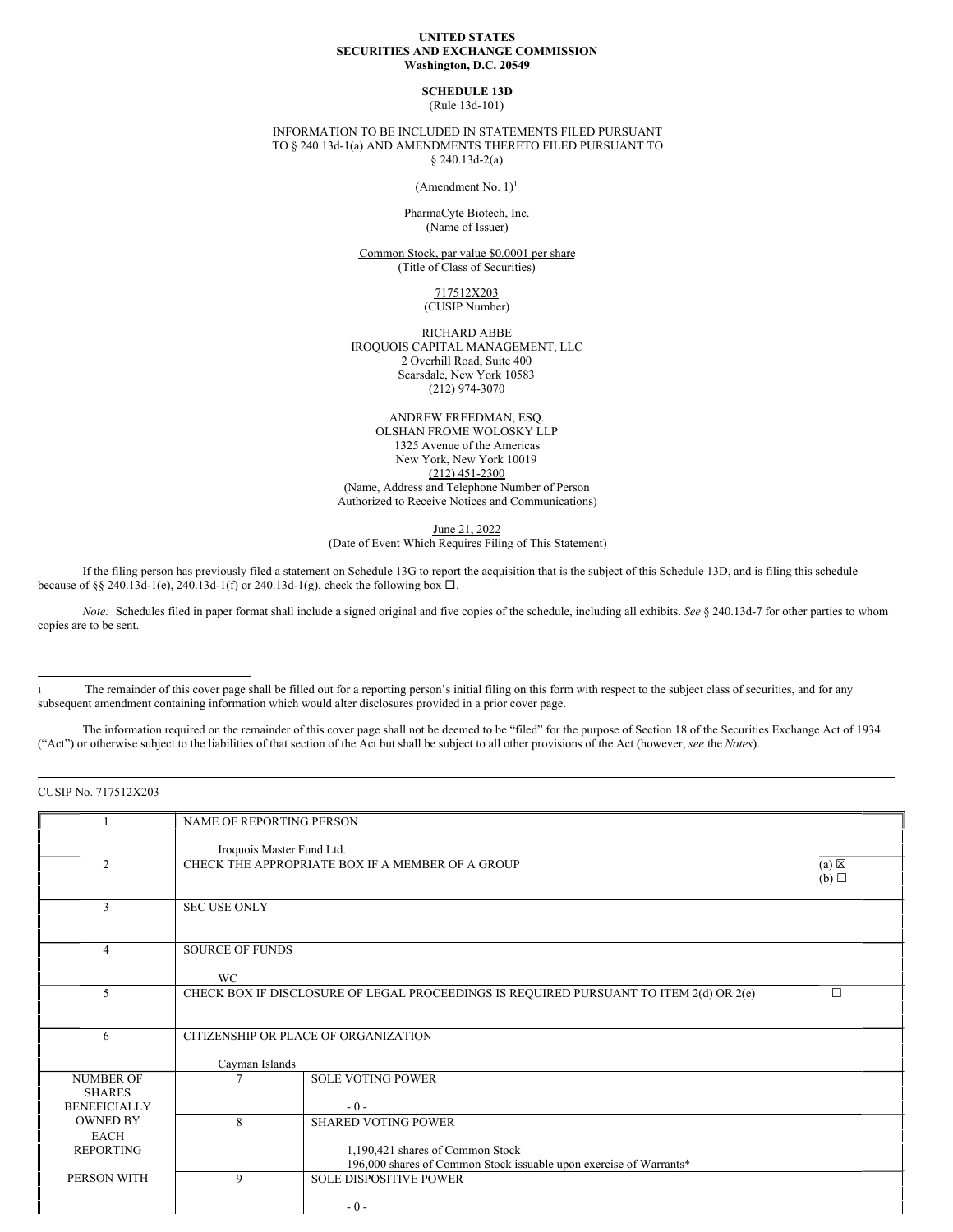## **UNITED STATES SECURITIES AND EXCHANGE COMMISSION Washington, D.C. 20549**

# **SCHEDULE 13D**

(Rule 13d-101)

INFORMATION TO BE INCLUDED IN STATEMENTS FILED PURSUANT TO § 240.13d-1(a) AND AMENDMENTS THERETO FILED PURSUANT TO § 240.13d-2(a)

(Amendment No. 1) 1

PharmaCyte Biotech, Inc. (Name of Issuer)

Common Stock, par value \$0.0001 per share (Title of Class of Securities)

> 717512X203 (CUSIP Number)

RICHARD ABBE IROQUOIS CAPITAL MANAGEMENT, LLC 2 Overhill Road, Suite 400 Scarsdale, New York 10583 (212) 974-3070

ANDREW FREEDMAN, ESQ. OLSHAN FROME WOLOSKY LLP 1325 Avenue of the Americas New York, New York 10019 (212) 451-2300 (Name, Address and Telephone Number of Person Authorized to Receive Notices and Communications)

June 21, 2022

(Date of Event Which Requires Filing of This Statement)

If the filing person has previously filed a statement on Schedule 13G to report the acquisition that is the subject of this Schedule 13D, and is filing this schedule because of §§ 240.13d-1(e), 240.13d-1(f) or 240.13d-1(g), check the following box  $\Box$ .

*Note:* Schedules filed in paper format shall include a signed original and five copies of the schedule, including all exhibits. *See* § 240.13d-7 for other parties to whom copies are to be sent.

The information required on the remainder of this cover page shall not be deemed to be "filed" for the purpose of Section 18 of the Securities Exchange Act of 1934 ("Act") or otherwise subject to the liabilities of that section of the Act but shall be subject to all other provisions of the Act (however, *see* the *Notes*).

CUSIP No. 717512X203

|                     | NAME OF REPORTING PERSON  |                                                                                        |                 |
|---------------------|---------------------------|----------------------------------------------------------------------------------------|-----------------|
|                     |                           |                                                                                        |                 |
|                     | Iroquois Master Fund Ltd. |                                                                                        |                 |
| $\overline{2}$      |                           | CHECK THE APPROPRIATE BOX IF A MEMBER OF A GROUP                                       | $(a) \boxtimes$ |
|                     |                           |                                                                                        | (b)             |
|                     |                           |                                                                                        |                 |
| 3                   | <b>SEC USE ONLY</b>       |                                                                                        |                 |
|                     |                           |                                                                                        |                 |
|                     |                           |                                                                                        |                 |
| 4                   | <b>SOURCE OF FUNDS</b>    |                                                                                        |                 |
|                     |                           |                                                                                        |                 |
|                     | <b>WC</b>                 |                                                                                        |                 |
| 5                   |                           | CHECK BOX IF DISCLOSURE OF LEGAL PROCEEDINGS IS REQUIRED PURSUANT TO ITEM 2(d) OR 2(e) | П               |
|                     |                           |                                                                                        |                 |
|                     |                           |                                                                                        |                 |
| 6                   |                           | CITIZENSHIP OR PLACE OF ORGANIZATION                                                   |                 |
|                     |                           |                                                                                        |                 |
|                     | Cayman Islands            |                                                                                        |                 |
| <b>NUMBER OF</b>    |                           | <b>SOLE VOTING POWER</b>                                                               |                 |
| <b>SHARES</b>       |                           |                                                                                        |                 |
| <b>BENEFICIALLY</b> |                           | $-0-$                                                                                  |                 |
| <b>OWNED BY</b>     | 8                         | <b>SHARED VOTING POWER</b>                                                             |                 |
| <b>EACH</b>         |                           |                                                                                        |                 |
| <b>REPORTING</b>    |                           | 1,190,421 shares of Common Stock                                                       |                 |
|                     |                           | 196,000 shares of Common Stock issuable upon exercise of Warrants*                     |                 |
| PERSON WITH         | 9                         | <b>SOLE DISPOSITIVE POWER</b>                                                          |                 |
|                     |                           |                                                                                        |                 |
|                     |                           | $-0-$                                                                                  |                 |
|                     |                           |                                                                                        |                 |

The remainder of this cover page shall be filled out for a reporting person's initial filing on this form with respect to the subject class of securities, and for any subsequent amendment containing information which would alter disclosures provided in a prior cover page.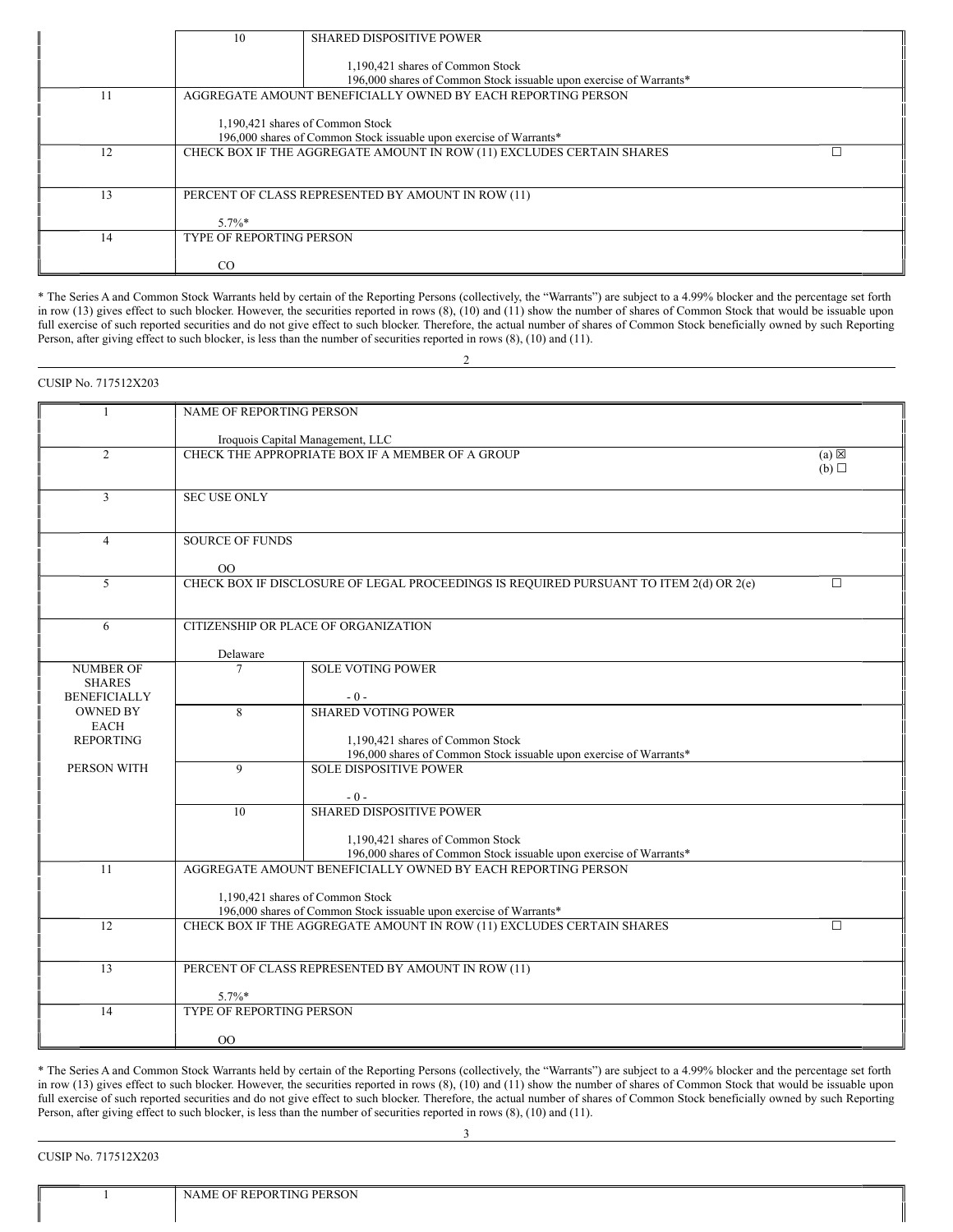|    | 10                              | <b>SHARED DISPOSITIVE POWER</b>                                       |
|----|---------------------------------|-----------------------------------------------------------------------|
|    |                                 |                                                                       |
|    |                                 | 1,190,421 shares of Common Stock                                      |
|    |                                 | 196,000 shares of Common Stock issuable upon exercise of Warrants*    |
| 11 |                                 | AGGREGATE AMOUNT BENEFICIALLY OWNED BY EACH REPORTING PERSON          |
|    |                                 |                                                                       |
|    |                                 | 1,190,421 shares of Common Stock                                      |
|    |                                 | 196,000 shares of Common Stock issuable upon exercise of Warrants*    |
| 12 |                                 | CHECK BOX IF THE AGGREGATE AMOUNT IN ROW (11) EXCLUDES CERTAIN SHARES |
|    |                                 |                                                                       |
|    |                                 |                                                                       |
| 13 |                                 | PERCENT OF CLASS REPRESENTED BY AMOUNT IN ROW (11)                    |
|    |                                 |                                                                       |
|    | $5.7\%$ *                       |                                                                       |
| 14 | <b>TYPE OF REPORTING PERSON</b> |                                                                       |
|    |                                 |                                                                       |
|    | CO.                             |                                                                       |

\* The Series A and Common Stock Warrants held by certain of the Reporting Persons (collectively, the "Warrants") are subject to a 4.99% blocker and the percentage set forth in row (13) gives effect to such blocker. However, the securities reported in rows (8), (10) and (11) show the number of shares of Common Stock that would be issuable upon full exercise of such reported securities and do not give effect to such blocker. Therefore, the actual number of shares of Common Stock beneficially owned by such Reporting Person, after giving effect to such blocker, is less than the number of securities reported in rows (8), (10) and (11).

2

|                                      | NAME OF REPORTING PERSON         |                                                                                                     |                 |  |  |
|--------------------------------------|----------------------------------|-----------------------------------------------------------------------------------------------------|-----------------|--|--|
|                                      |                                  |                                                                                                     |                 |  |  |
| $\overline{2}$                       |                                  | Iroquois Capital Management, LLC<br>CHECK THE APPROPRIATE BOX IF A MEMBER OF A GROUP                | $(a) \boxtimes$ |  |  |
|                                      |                                  |                                                                                                     | $(b)$ $\square$ |  |  |
|                                      |                                  |                                                                                                     |                 |  |  |
| 3                                    | <b>SEC USE ONLY</b>              |                                                                                                     |                 |  |  |
|                                      |                                  |                                                                                                     |                 |  |  |
| $\overline{4}$                       | <b>SOURCE OF FUNDS</b>           |                                                                                                     |                 |  |  |
|                                      |                                  |                                                                                                     |                 |  |  |
| $\mathfrak{S}$                       | $00\,$                           | CHECK BOX IF DISCLOSURE OF LEGAL PROCEEDINGS IS REQUIRED PURSUANT TO ITEM 2(d) OR 2(e)              | $\Box$          |  |  |
|                                      |                                  |                                                                                                     |                 |  |  |
|                                      |                                  |                                                                                                     |                 |  |  |
| 6                                    |                                  | CITIZENSHIP OR PLACE OF ORGANIZATION                                                                |                 |  |  |
|                                      | Delaware                         |                                                                                                     |                 |  |  |
| <b>NUMBER OF</b>                     | 7                                | <b>SOLE VOTING POWER</b>                                                                            |                 |  |  |
| <b>SHARES</b><br><b>BENEFICIALLY</b> |                                  | $-0-$                                                                                               |                 |  |  |
| <b>OWNED BY</b>                      | 8                                | <b>SHARED VOTING POWER</b>                                                                          |                 |  |  |
| <b>EACH</b>                          |                                  |                                                                                                     |                 |  |  |
| <b>REPORTING</b>                     |                                  | 1,190,421 shares of Common Stock                                                                    |                 |  |  |
| PERSON WITH                          | $\mathbf{Q}$                     | 196,000 shares of Common Stock issuable upon exercise of Warrants*<br><b>SOLE DISPOSITIVE POWER</b> |                 |  |  |
|                                      |                                  |                                                                                                     |                 |  |  |
|                                      |                                  | $-0-$                                                                                               |                 |  |  |
|                                      | 10                               | <b>SHARED DISPOSITIVE POWER</b>                                                                     |                 |  |  |
|                                      |                                  | 1.190.421 shares of Common Stock                                                                    |                 |  |  |
|                                      |                                  | 196,000 shares of Common Stock issuable upon exercise of Warrants*                                  |                 |  |  |
| 11                                   |                                  | AGGREGATE AMOUNT BENEFICIALLY OWNED BY EACH REPORTING PERSON                                        |                 |  |  |
|                                      | 1,190,421 shares of Common Stock |                                                                                                     |                 |  |  |
|                                      |                                  | 196,000 shares of Common Stock issuable upon exercise of Warrants*                                  |                 |  |  |
| 12                                   |                                  | CHECK BOX IF THE AGGREGATE AMOUNT IN ROW (11) EXCLUDES CERTAIN SHARES                               | $\Box$          |  |  |
|                                      |                                  |                                                                                                     |                 |  |  |
| 13                                   |                                  | PERCENT OF CLASS REPRESENTED BY AMOUNT IN ROW (11)                                                  |                 |  |  |
|                                      | $5.7\%*$                         |                                                                                                     |                 |  |  |
| 14                                   | TYPE OF REPORTING PERSON         |                                                                                                     |                 |  |  |
|                                      |                                  |                                                                                                     |                 |  |  |
|                                      | 0 <sup>0</sup>                   |                                                                                                     |                 |  |  |

\* The Series A and Common Stock Warrants held by certain of the Reporting Persons (collectively, the "Warrants") are subject to a 4.99% blocker and the percentage set forth in row (13) gives effect to such blocker. However, the securities reported in rows (8), (10) and (11) show the number of shares of Common Stock that would be issuable upon full exercise of such reported securities and do not give effect to such blocker. Therefore, the actual number of shares of Common Stock beneficially owned by such Reporting Person, after giving effect to such blocker, is less than the number of securities reported in rows (8), (10) and (11).

3

CUSIP No. 717512X203

CUSIP No. 717512X203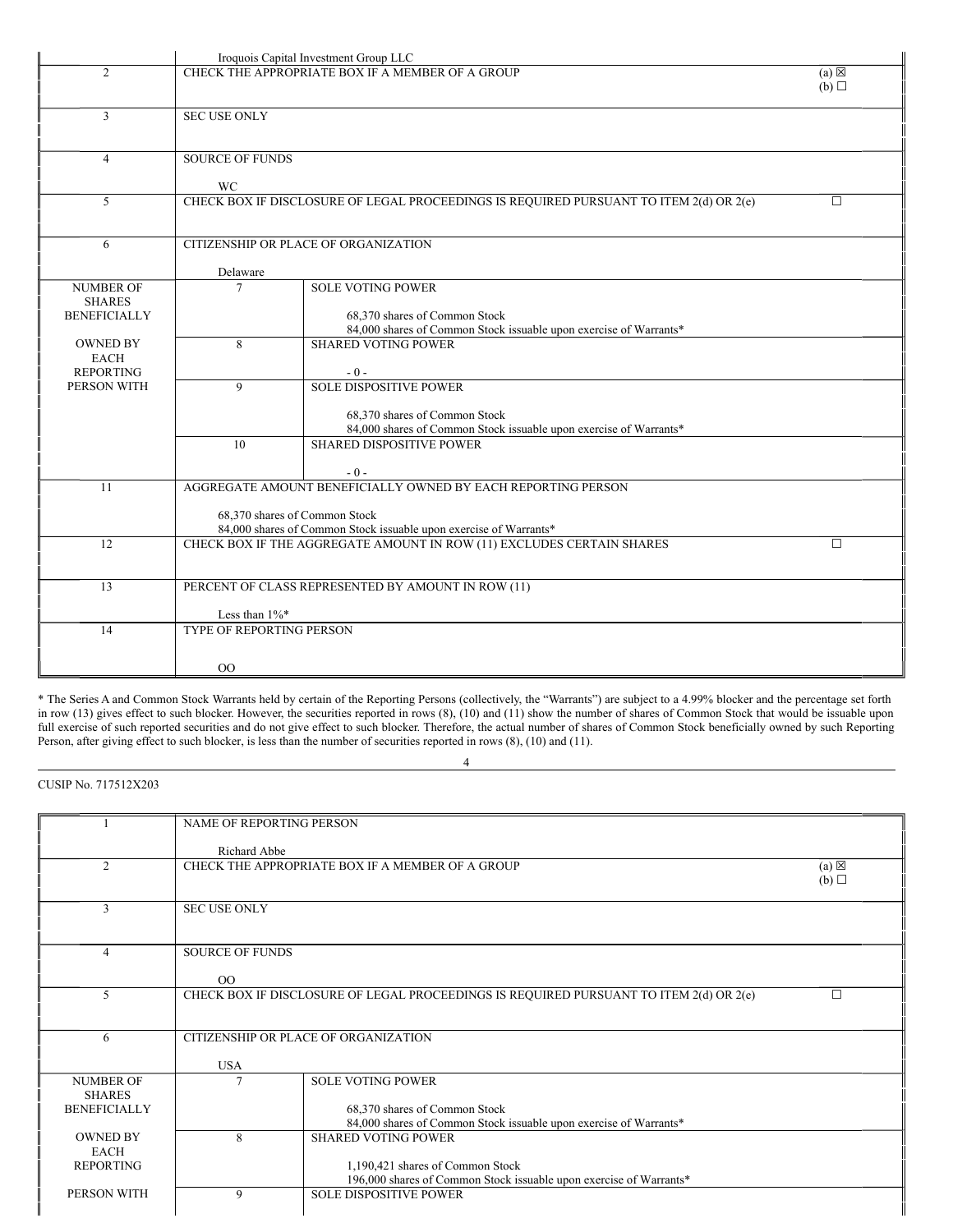|                                                          |                          | Iroquois Capital Investment Group LLC                                                                  |                        |  |  |
|----------------------------------------------------------|--------------------------|--------------------------------------------------------------------------------------------------------|------------------------|--|--|
| $\overline{2}$                                           |                          | CHECK THE APPROPRIATE BOX IF A MEMBER OF A GROUP                                                       | $(a) \boxtimes$<br>(b) |  |  |
| $\overline{3}$                                           | <b>SEC USE ONLY</b>      |                                                                                                        |                        |  |  |
| $\overline{4}$                                           | <b>SOURCE OF FUNDS</b>   |                                                                                                        |                        |  |  |
| 5                                                        |                          | WC<br>CHECK BOX IF DISCLOSURE OF LEGAL PROCEEDINGS IS REQUIRED PURSUANT TO ITEM 2(d) OR 2(e)<br>$\Box$ |                        |  |  |
| 6                                                        |                          | CITIZENSHIP OR PLACE OF ORGANIZATION                                                                   |                        |  |  |
|                                                          | Delaware                 |                                                                                                        |                        |  |  |
| <b>NUMBER OF</b><br><b>SHARES</b><br><b>BENEFICIALLY</b> | $\tau$                   | <b>SOLE VOTING POWER</b><br>68.370 shares of Common Stock                                              |                        |  |  |
| <b>OWNED BY</b>                                          | 8                        | 84,000 shares of Common Stock issuable upon exercise of Warrants*<br><b>SHARED VOTING POWER</b>        |                        |  |  |
| <b>EACH</b><br><b>REPORTING</b>                          |                          | $-0-$                                                                                                  |                        |  |  |
| PERSON WITH                                              | 9                        | <b>SOLE DISPOSITIVE POWER</b>                                                                          |                        |  |  |
|                                                          |                          | 68,370 shares of Common Stock<br>84,000 shares of Common Stock issuable upon exercise of Warrants*     |                        |  |  |
|                                                          | 10                       | <b>SHARED DISPOSITIVE POWER</b>                                                                        |                        |  |  |
|                                                          |                          | $-0-$                                                                                                  |                        |  |  |
| 11                                                       |                          | AGGREGATE AMOUNT BENEFICIALLY OWNED BY EACH REPORTING PERSON                                           |                        |  |  |
|                                                          |                          | 68,370 shares of Common Stock<br>84,000 shares of Common Stock issuable upon exercise of Warrants*     |                        |  |  |
| 12                                                       |                          | CHECK BOX IF THE AGGREGATE AMOUNT IN ROW (11) EXCLUDES CERTAIN SHARES                                  | $\Box$                 |  |  |
|                                                          |                          |                                                                                                        |                        |  |  |
| 13                                                       |                          | PERCENT OF CLASS REPRESENTED BY AMOUNT IN ROW (11)                                                     |                        |  |  |
|                                                          | Less than $1\%$ *        |                                                                                                        |                        |  |  |
| 14                                                       | TYPE OF REPORTING PERSON |                                                                                                        |                        |  |  |
|                                                          |                          |                                                                                                        |                        |  |  |
|                                                          | 00                       |                                                                                                        |                        |  |  |

\* The Series A and Common Stock Warrants held by certain of the Reporting Persons (collectively, the "Warrants") are subject to a 4.99% blocker and the percentage set forth in row (13) gives effect to such blocker. However, the securities reported in rows (8), (10) and (11) show the number of shares of Common Stock that would be issuable upon full exercise of such reported securities and do not give effect to such blocker. Therefore, the actual number of shares of Common Stock beneficially owned by such Reporting Person, after giving effect to such blocker, is less than the number of securities reported in rows (8), (10) and (11).

4

CUSIP No. 717512X203

|                     | NAME OF REPORTING PERSON |                                                                                        |                 |
|---------------------|--------------------------|----------------------------------------------------------------------------------------|-----------------|
|                     |                          |                                                                                        |                 |
|                     | Richard Abbe             |                                                                                        |                 |
| $\overline{2}$      |                          | CHECK THE APPROPRIATE BOX IF A MEMBER OF A GROUP                                       | $(a) \boxtimes$ |
|                     |                          |                                                                                        | (b)             |
|                     |                          |                                                                                        |                 |
| $\mathbf{3}$        | <b>SEC USE ONLY</b>      |                                                                                        |                 |
|                     |                          |                                                                                        |                 |
|                     |                          |                                                                                        |                 |
| $\overline{4}$      | <b>SOURCE OF FUNDS</b>   |                                                                                        |                 |
|                     |                          |                                                                                        |                 |
|                     | O <sub>O</sub>           |                                                                                        |                 |
| $5^{\circ}$         |                          | CHECK BOX IF DISCLOSURE OF LEGAL PROCEEDINGS IS REQUIRED PURSUANT TO ITEM 2(d) OR 2(e) |                 |
|                     |                          |                                                                                        |                 |
|                     |                          |                                                                                        |                 |
| 6                   |                          | CITIZENSHIP OR PLACE OF ORGANIZATION                                                   |                 |
|                     |                          |                                                                                        |                 |
|                     | <b>USA</b>               |                                                                                        |                 |
| <b>NUMBER OF</b>    | 7                        | <b>SOLE VOTING POWER</b>                                                               |                 |
| <b>SHARES</b>       |                          |                                                                                        |                 |
| <b>BENEFICIALLY</b> |                          | 68,370 shares of Common Stock                                                          |                 |
|                     |                          | 84,000 shares of Common Stock issuable upon exercise of Warrants*                      |                 |
| <b>OWNED BY</b>     | 8                        | <b>SHARED VOTING POWER</b>                                                             |                 |
| <b>EACH</b>         |                          |                                                                                        |                 |
| <b>REPORTING</b>    |                          | 1,190,421 shares of Common Stock                                                       |                 |
|                     |                          | 196,000 shares of Common Stock issuable upon exercise of Warrants*                     |                 |
| PERSON WITH         | 9                        | <b>SOLE DISPOSITIVE POWER</b>                                                          |                 |
|                     |                          |                                                                                        |                 |
|                     |                          |                                                                                        |                 |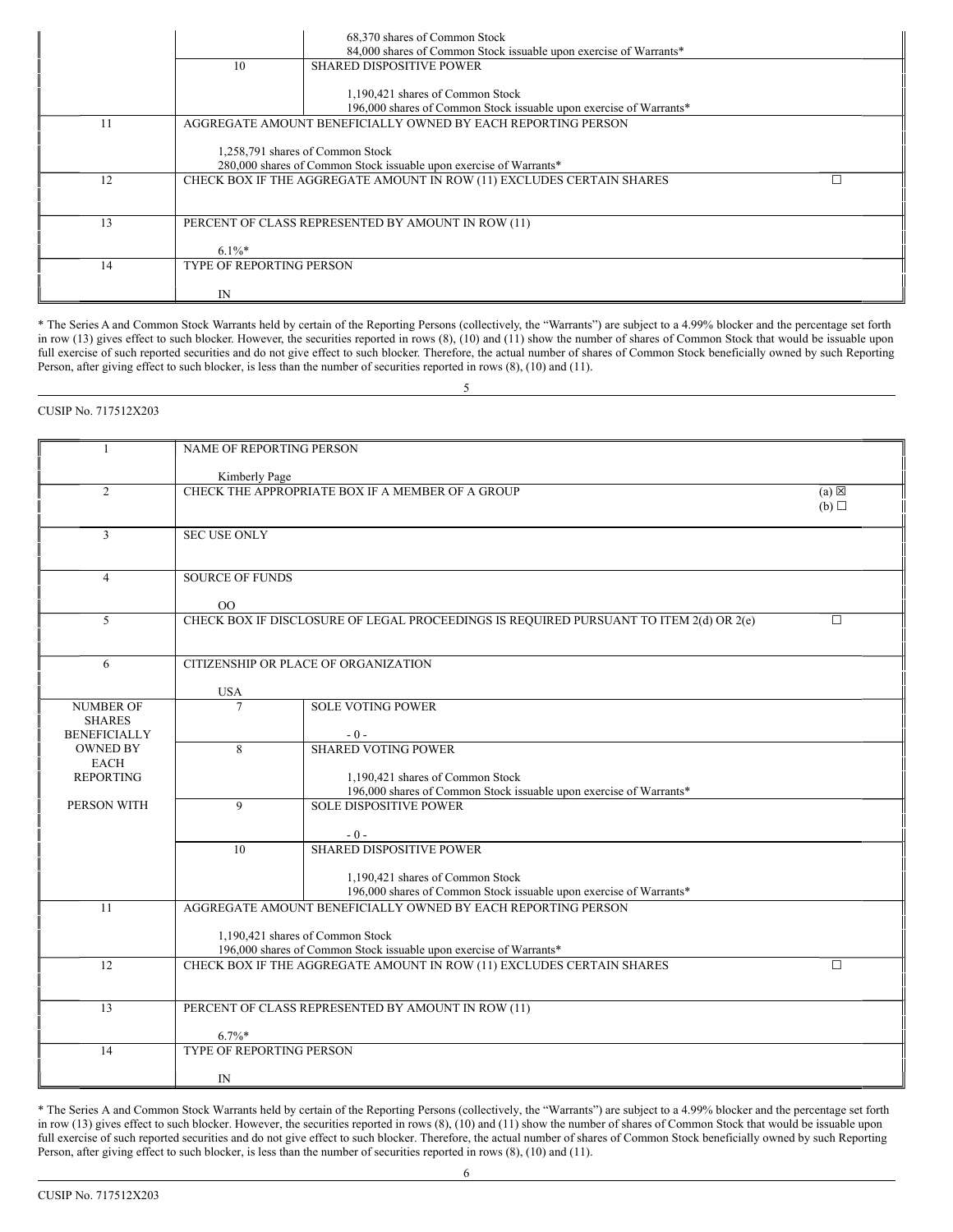|    |                                 | 68,370 shares of Common Stock<br>84,000 shares of Common Stock issuable upon exercise of Warrants*     |
|----|---------------------------------|--------------------------------------------------------------------------------------------------------|
|    | 10                              | <b>SHARED DISPOSITIVE POWER</b>                                                                        |
|    |                                 | 1,190,421 shares of Common Stock<br>196,000 shares of Common Stock issuable upon exercise of Warrants* |
| 11 |                                 | AGGREGATE AMOUNT BENEFICIALLY OWNED BY EACH REPORTING PERSON                                           |
|    |                                 | 1,258,791 shares of Common Stock<br>280,000 shares of Common Stock issuable upon exercise of Warrants* |
| 12 |                                 | CHECK BOX IF THE AGGREGATE AMOUNT IN ROW (11) EXCLUDES CERTAIN SHARES                                  |
| 13 |                                 | PERCENT OF CLASS REPRESENTED BY AMOUNT IN ROW (11)                                                     |
|    | $6.1\%$                         |                                                                                                        |
| 14 | <b>TYPE OF REPORTING PERSON</b> |                                                                                                        |
|    | IN                              |                                                                                                        |

\* The Series A and Common Stock Warrants held by certain of the Reporting Persons (collectively, the "Warrants") are subject to a 4.99% blocker and the percentage set forth in row (13) gives effect to such blocker. However, the securities reported in rows (8), (10) and (11) show the number of shares of Common Stock that would be issuable upon full exercise of such reported securities and do not give effect to such blocker. Therefore, the actual number of shares of Common Stock beneficially owned by such Reporting Person, after giving effect to such blocker, is less than the number of securities reported in rows (8), (10) and (11).

5

# CUSIP No. 717512X203

|                                      | NAME OF REPORTING PERSON        |                                                                                        |                 |
|--------------------------------------|---------------------------------|----------------------------------------------------------------------------------------|-----------------|
|                                      | Kimberly Page                   |                                                                                        |                 |
| 2                                    |                                 | CHECK THE APPROPRIATE BOX IF A MEMBER OF A GROUP                                       | $(a) \boxtimes$ |
|                                      |                                 |                                                                                        | (b)             |
|                                      |                                 |                                                                                        |                 |
| 3                                    | <b>SEC USE ONLY</b>             |                                                                                        |                 |
|                                      |                                 |                                                                                        |                 |
|                                      |                                 |                                                                                        |                 |
| $\overline{4}$                       | <b>SOURCE OF FUNDS</b>          |                                                                                        |                 |
|                                      | 00                              |                                                                                        |                 |
| 5                                    |                                 | CHECK BOX IF DISCLOSURE OF LEGAL PROCEEDINGS IS REQUIRED PURSUANT TO ITEM 2(d) OR 2(e) | П               |
|                                      |                                 |                                                                                        |                 |
|                                      |                                 |                                                                                        |                 |
| 6                                    |                                 | CITIZENSHIP OR PLACE OF ORGANIZATION                                                   |                 |
|                                      |                                 |                                                                                        |                 |
|                                      | <b>USA</b>                      |                                                                                        |                 |
| <b>NUMBER OF</b>                     | 7                               | <b>SOLE VOTING POWER</b>                                                               |                 |
| <b>SHARES</b><br><b>BENEFICIALLY</b> |                                 | $-0-$                                                                                  |                 |
| <b>OWNED BY</b>                      | 8                               | <b>SHARED VOTING POWER</b>                                                             |                 |
| <b>EACH</b>                          |                                 |                                                                                        |                 |
| <b>REPORTING</b>                     |                                 | 1,190,421 shares of Common Stock                                                       |                 |
|                                      |                                 | 196,000 shares of Common Stock issuable upon exercise of Warrants*                     |                 |
| PERSON WITH                          | 9                               | <b>SOLE DISPOSITIVE POWER</b>                                                          |                 |
|                                      |                                 |                                                                                        |                 |
|                                      |                                 | $-0-$<br><b>SHARED DISPOSITIVE POWER</b>                                               |                 |
|                                      | 10                              |                                                                                        |                 |
|                                      |                                 | 1,190,421 shares of Common Stock                                                       |                 |
|                                      |                                 | 196,000 shares of Common Stock issuable upon exercise of Warrants*                     |                 |
| 11                                   |                                 | AGGREGATE AMOUNT BENEFICIALLY OWNED BY EACH REPORTING PERSON                           |                 |
|                                      |                                 |                                                                                        |                 |
|                                      |                                 | 1,190,421 shares of Common Stock                                                       |                 |
|                                      |                                 | 196,000 shares of Common Stock issuable upon exercise of Warrants*                     |                 |
| 12                                   |                                 | CHECK BOX IF THE AGGREGATE AMOUNT IN ROW (11) EXCLUDES CERTAIN SHARES                  | $\Box$          |
|                                      |                                 |                                                                                        |                 |
| 13                                   |                                 | PERCENT OF CLASS REPRESENTED BY AMOUNT IN ROW (11)                                     |                 |
|                                      |                                 |                                                                                        |                 |
|                                      | $6.7\%$ *                       |                                                                                        |                 |
| 14                                   | <b>TYPE OF REPORTING PERSON</b> |                                                                                        |                 |
|                                      |                                 |                                                                                        |                 |
|                                      | IN                              |                                                                                        |                 |

\* The Series A and Common Stock Warrants held by certain of the Reporting Persons (collectively, the "Warrants") are subject to a 4.99% blocker and the percentage set forth in row (13) gives effect to such blocker. However, the securities reported in rows (8), (10) and (11) show the number of shares of Common Stock that would be issuable upon full exercise of such reported securities and do not give effect to such blocker. Therefore, the actual number of shares of Common Stock beneficially owned by such Reporting Person, after giving effect to such blocker, is less than the number of securities reported in rows (8), (10) and (11).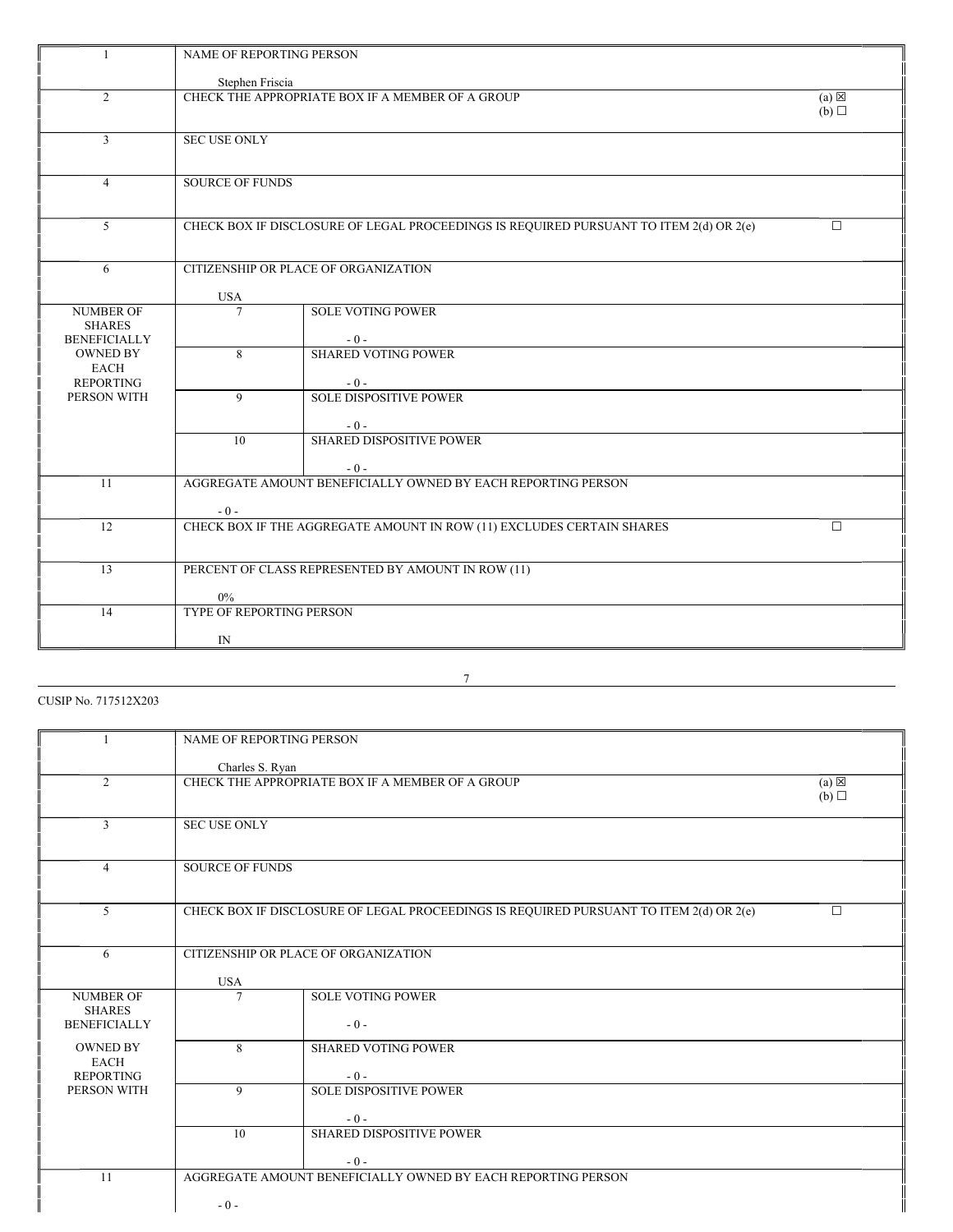| -1                                                       | NAME OF REPORTING PERSON                                    |                                                                                        |                        |  |  |
|----------------------------------------------------------|-------------------------------------------------------------|----------------------------------------------------------------------------------------|------------------------|--|--|
|                                                          | Stephen Friscia                                             |                                                                                        |                        |  |  |
| $\overline{2}$                                           |                                                             | CHECK THE APPROPRIATE BOX IF A MEMBER OF A GROUP                                       | $(a) \boxtimes$<br>(b) |  |  |
| $\overline{3}$                                           | <b>SEC USE ONLY</b>                                         |                                                                                        |                        |  |  |
| $\overline{4}$                                           |                                                             | <b>SOURCE OF FUNDS</b>                                                                 |                        |  |  |
| 5                                                        |                                                             | CHECK BOX IF DISCLOSURE OF LEGAL PROCEEDINGS IS REQUIRED PURSUANT TO ITEM 2(d) OR 2(e) | $\Box$                 |  |  |
| 6                                                        | <b>USA</b>                                                  | CITIZENSHIP OR PLACE OF ORGANIZATION                                                   |                        |  |  |
| <b>NUMBER OF</b><br><b>SHARES</b><br><b>BENEFICIALLY</b> | $\tau$                                                      | <b>SOLE VOTING POWER</b><br>$-0-$                                                      |                        |  |  |
| <b>OWNED BY</b><br>EACH<br><b>REPORTING</b>              | 8                                                           | <b>SHARED VOTING POWER</b><br>$-0-$                                                    |                        |  |  |
| PERSON WITH                                              | $\overline{9}$                                              | <b>SOLE DISPOSITIVE POWER</b><br>$-0-$                                                 |                        |  |  |
|                                                          | 10 <sup>10</sup>                                            | SHARED DISPOSITIVE POWER<br>$-0-$                                                      |                        |  |  |
| 11                                                       | $-0-$                                                       | AGGREGATE AMOUNT BENEFICIALLY OWNED BY EACH REPORTING PERSON                           |                        |  |  |
| 12                                                       |                                                             | CHECK BOX IF THE AGGREGATE AMOUNT IN ROW (11) EXCLUDES CERTAIN SHARES                  | $\Box$                 |  |  |
| 13                                                       | PERCENT OF CLASS REPRESENTED BY AMOUNT IN ROW (11)<br>$0\%$ |                                                                                        |                        |  |  |
| 14                                                       | <b>TYPE OF REPORTING PERSON</b><br>IN                       |                                                                                        |                        |  |  |

CUSIP No. 717512X203

|                                      | NAME OF REPORTING PERSON |                                                                                        |                 |
|--------------------------------------|--------------------------|----------------------------------------------------------------------------------------|-----------------|
|                                      | Charles S. Ryan          |                                                                                        |                 |
| 2                                    |                          | CHECK THE APPROPRIATE BOX IF A MEMBER OF A GROUP                                       | $(a) \boxtimes$ |
|                                      |                          |                                                                                        | (b)             |
| 3                                    | <b>SEC USE ONLY</b>      |                                                                                        |                 |
|                                      |                          |                                                                                        |                 |
| $\overline{4}$                       | <b>SOURCE OF FUNDS</b>   |                                                                                        |                 |
|                                      |                          |                                                                                        |                 |
| 5                                    |                          | CHECK BOX IF DISCLOSURE OF LEGAL PROCEEDINGS IS REQUIRED PURSUANT TO ITEM 2(d) OR 2(e) | $\Box$          |
|                                      |                          |                                                                                        |                 |
| 6                                    |                          | CITIZENSHIP OR PLACE OF ORGANIZATION                                                   |                 |
|                                      | <b>USA</b>               |                                                                                        |                 |
| <b>NUMBER OF</b>                     | 7                        | <b>SOLE VOTING POWER</b>                                                               |                 |
| <b>SHARES</b><br><b>BENEFICIALLY</b> |                          | $-0-$                                                                                  |                 |
| <b>OWNED BY</b>                      | 8                        | <b>SHARED VOTING POWER</b>                                                             |                 |
| <b>EACH</b>                          |                          |                                                                                        |                 |
| <b>REPORTING</b><br>PERSON WITH      | 9                        | $-0-$<br><b>SOLE DISPOSITIVE POWER</b>                                                 |                 |
|                                      |                          |                                                                                        |                 |
|                                      | 10                       | $-0-$<br>SHARED DISPOSITIVE POWER                                                      |                 |
|                                      |                          |                                                                                        |                 |
| 11                                   |                          | $-0-$<br>AGGREGATE AMOUNT BENEFICIALLY OWNED BY EACH REPORTING PERSON                  |                 |
|                                      |                          |                                                                                        |                 |
|                                      | $-0-$                    |                                                                                        |                 |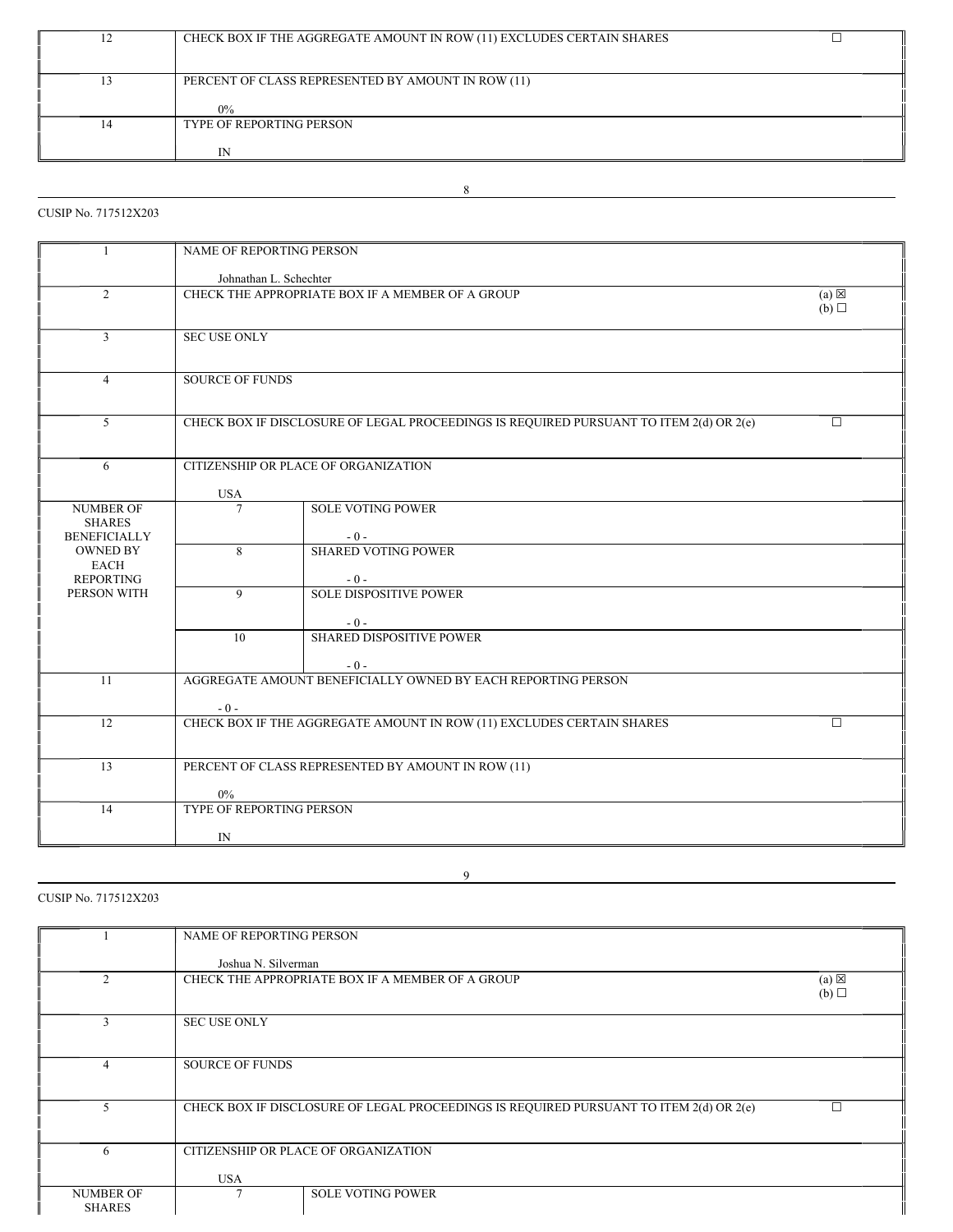|   | CHECK BOX IF THE AGGREGATE AMOUNT IN ROW (11) EXCLUDES CERTAIN SHARES |
|---|-----------------------------------------------------------------------|
|   |                                                                       |
|   | PERCENT OF CLASS REPRESENTED BY AMOUNT IN ROW (11)                    |
|   |                                                                       |
|   | $0\%$                                                                 |
| 4 | <b>TYPE OF REPORTING PERSON</b>                                       |
|   |                                                                       |
|   | ΓN                                                                    |

8

CUSIP No. 717512X203

| 1                                 | NAME OF REPORTING PERSON |                                                                                        |        |  |  |
|-----------------------------------|--------------------------|----------------------------------------------------------------------------------------|--------|--|--|
|                                   | Johnathan L. Schechter   |                                                                                        |        |  |  |
| $\overline{2}$                    |                          | CHECK THE APPROPRIATE BOX IF A MEMBER OF A GROUP<br>$(a) \boxtimes$<br>(b)             |        |  |  |
|                                   |                          |                                                                                        |        |  |  |
| $\overline{3}$                    |                          | <b>SEC USE ONLY</b>                                                                    |        |  |  |
| $\overline{4}$                    | <b>SOURCE OF FUNDS</b>   |                                                                                        |        |  |  |
|                                   |                          |                                                                                        |        |  |  |
| $\mathfrak{S}$                    |                          | CHECK BOX IF DISCLOSURE OF LEGAL PROCEEDINGS IS REQUIRED PURSUANT TO ITEM 2(d) OR 2(e) | $\Box$ |  |  |
|                                   |                          |                                                                                        |        |  |  |
| 6                                 |                          | CITIZENSHIP OR PLACE OF ORGANIZATION                                                   |        |  |  |
|                                   | <b>USA</b>               |                                                                                        |        |  |  |
| <b>NUMBER OF</b><br><b>SHARES</b> | $\overline{7}$           | <b>SOLE VOTING POWER</b>                                                               |        |  |  |
| <b>BENEFICIALLY</b>               |                          | $-0-$                                                                                  |        |  |  |
| <b>OWNED BY</b><br><b>EACH</b>    | 8                        | <b>SHARED VOTING POWER</b>                                                             |        |  |  |
| <b>REPORTING</b>                  |                          | $-0-$                                                                                  |        |  |  |
| PERSON WITH                       | $\mathbf{Q}$             | <b>SOLE DISPOSITIVE POWER</b>                                                          |        |  |  |
|                                   |                          | $-0-$                                                                                  |        |  |  |
|                                   | 10                       | SHARED DISPOSITIVE POWER                                                               |        |  |  |
|                                   |                          | $-0-$                                                                                  |        |  |  |
| 11                                |                          | AGGREGATE AMOUNT BENEFICIALLY OWNED BY EACH REPORTING PERSON                           |        |  |  |
|                                   | $-0-$                    |                                                                                        |        |  |  |
| 12                                |                          | CHECK BOX IF THE AGGREGATE AMOUNT IN ROW (11) EXCLUDES CERTAIN SHARES                  | $\Box$ |  |  |
|                                   |                          |                                                                                        |        |  |  |
| 13                                |                          | PERCENT OF CLASS REPRESENTED BY AMOUNT IN ROW (11)                                     |        |  |  |
|                                   | $0\%$                    |                                                                                        |        |  |  |
| 14                                | TYPE OF REPORTING PERSON |                                                                                        |        |  |  |
|                                   | IN                       |                                                                                        |        |  |  |

# CUSIP No. 717512X203

|                                   | <b>NAME OF REPORTING PERSON</b> |                                                                                        |                        |
|-----------------------------------|---------------------------------|----------------------------------------------------------------------------------------|------------------------|
|                                   | Joshua N. Silverman             |                                                                                        |                        |
| $\mathcal{D}_{\mathcal{L}}$       |                                 | CHECK THE APPROPRIATE BOX IF A MEMBER OF A GROUP                                       | $(a) \boxtimes$<br>(b) |
| 3                                 | <b>SEC USE ONLY</b>             |                                                                                        |                        |
| 4                                 | <b>SOURCE OF FUNDS</b>          |                                                                                        |                        |
|                                   |                                 | CHECK BOX IF DISCLOSURE OF LEGAL PROCEEDINGS IS REQUIRED PURSUANT TO ITEM 2(d) OR 2(e) | П                      |
| 6                                 |                                 | CITIZENSHIP OR PLACE OF ORGANIZATION                                                   |                        |
|                                   | <b>USA</b>                      |                                                                                        |                        |
| <b>NUMBER OF</b><br><b>SHARES</b> |                                 | <b>SOLE VOTING POWER</b>                                                               |                        |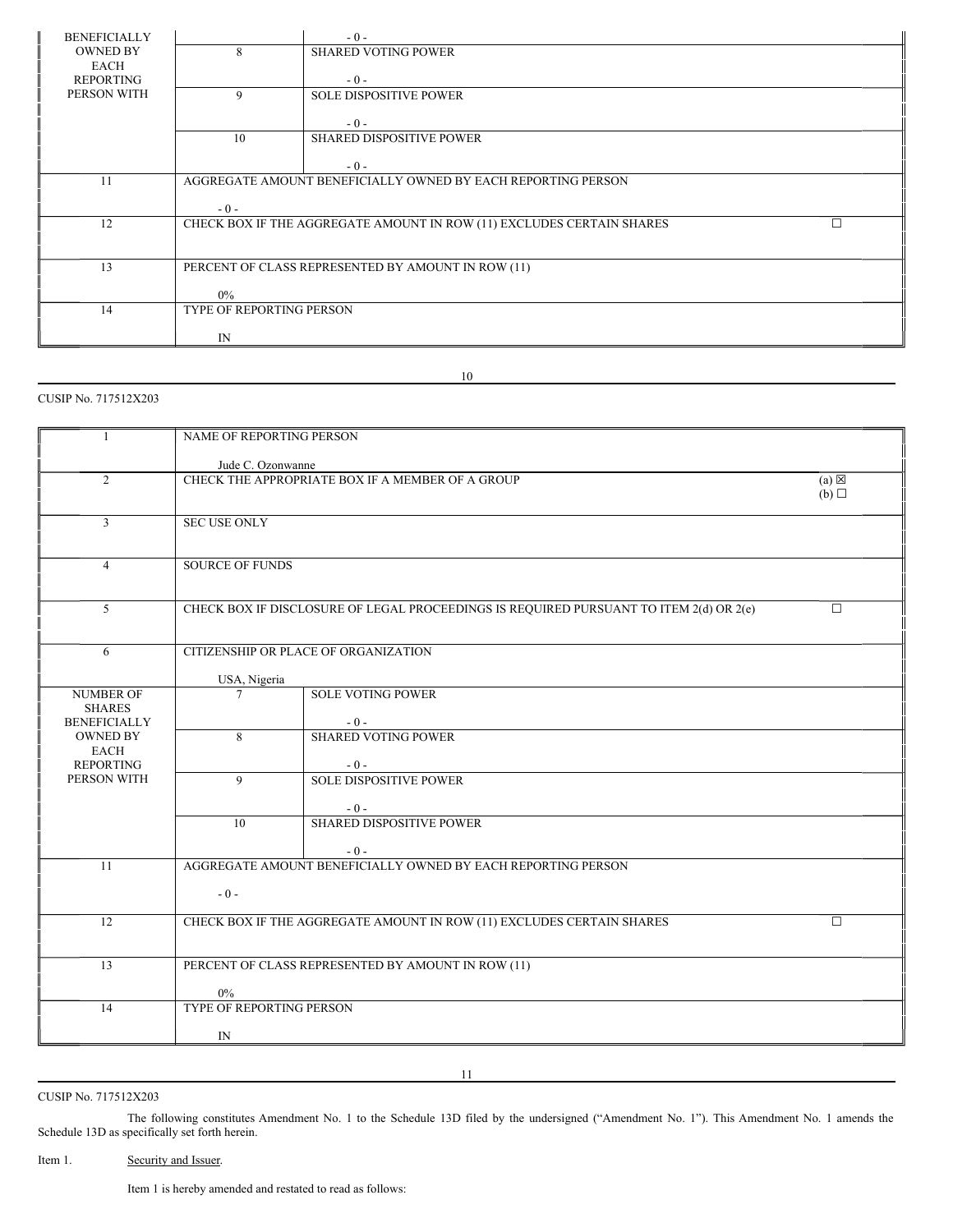| <b>BENEFICIALLY</b> |                                                              | $-0-$                                                                 |  |  |
|---------------------|--------------------------------------------------------------|-----------------------------------------------------------------------|--|--|
| <b>OWNED BY</b>     | 8<br><b>SHARED VOTING POWER</b>                              |                                                                       |  |  |
| <b>EACH</b>         |                                                              |                                                                       |  |  |
| <b>REPORTING</b>    |                                                              | $-0-$                                                                 |  |  |
| PERSON WITH         | 9                                                            | <b>SOLE DISPOSITIVE POWER</b>                                         |  |  |
|                     |                                                              | $-0-$                                                                 |  |  |
|                     | 10                                                           | <b>SHARED DISPOSITIVE POWER</b>                                       |  |  |
|                     |                                                              |                                                                       |  |  |
|                     |                                                              | $-0-$                                                                 |  |  |
| 11                  | AGGREGATE AMOUNT BENEFICIALLY OWNED BY EACH REPORTING PERSON |                                                                       |  |  |
|                     |                                                              |                                                                       |  |  |
|                     | $-0-$                                                        |                                                                       |  |  |
| 12                  |                                                              | CHECK BOX IF THE AGGREGATE AMOUNT IN ROW (11) EXCLUDES CERTAIN SHARES |  |  |
|                     |                                                              |                                                                       |  |  |
| 13                  |                                                              |                                                                       |  |  |
|                     | PERCENT OF CLASS REPRESENTED BY AMOUNT IN ROW (11)           |                                                                       |  |  |
|                     | $0\%$                                                        |                                                                       |  |  |
| 14                  | <b>TYPE OF REPORTING PERSON</b>                              |                                                                       |  |  |
|                     |                                                              |                                                                       |  |  |
|                     | IN                                                           |                                                                       |  |  |

# 10

# CUSIP No. 717512X203

| $\mathbf{1}$                      | NAME OF REPORTING PERSON                                                                         |                                          |  |  |  |
|-----------------------------------|--------------------------------------------------------------------------------------------------|------------------------------------------|--|--|--|
|                                   | Jude C. Ozonwanne                                                                                |                                          |  |  |  |
| $\overline{2}$                    | CHECK THE APPROPRIATE BOX IF A MEMBER OF A GROUP<br>$(a) \boxtimes$                              |                                          |  |  |  |
|                                   | (b)                                                                                              |                                          |  |  |  |
| 3                                 | <b>SEC USE ONLY</b>                                                                              |                                          |  |  |  |
|                                   |                                                                                                  |                                          |  |  |  |
| $\overline{4}$                    | <b>SOURCE OF FUNDS</b>                                                                           |                                          |  |  |  |
|                                   |                                                                                                  |                                          |  |  |  |
| 5                                 | CHECK BOX IF DISCLOSURE OF LEGAL PROCEEDINGS IS REQUIRED PURSUANT TO ITEM 2(d) OR 2(e)<br>$\Box$ |                                          |  |  |  |
|                                   |                                                                                                  |                                          |  |  |  |
| 6                                 | CITIZENSHIP OR PLACE OF ORGANIZATION                                                             |                                          |  |  |  |
|                                   | USA, Nigeria                                                                                     |                                          |  |  |  |
| <b>NUMBER OF</b><br><b>SHARES</b> | $\tau$                                                                                           | <b>SOLE VOTING POWER</b>                 |  |  |  |
| <b>BENEFICIALLY</b>               |                                                                                                  | $-0-$                                    |  |  |  |
| <b>OWNED BY</b><br><b>EACH</b>    | 8                                                                                                | <b>SHARED VOTING POWER</b>               |  |  |  |
| <b>REPORTING</b>                  |                                                                                                  | $-0-$                                    |  |  |  |
| PERSON WITH                       | 9                                                                                                | <b>SOLE DISPOSITIVE POWER</b>            |  |  |  |
|                                   | 10                                                                                               | $-0-$<br><b>SHARED DISPOSITIVE POWER</b> |  |  |  |
|                                   |                                                                                                  |                                          |  |  |  |
| 11                                |                                                                                                  | $-0-$                                    |  |  |  |
|                                   | AGGREGATE AMOUNT BENEFICIALLY OWNED BY EACH REPORTING PERSON                                     |                                          |  |  |  |
|                                   | $-0-$                                                                                            |                                          |  |  |  |
| 12                                | CHECK BOX IF THE AGGREGATE AMOUNT IN ROW (11) EXCLUDES CERTAIN SHARES<br>$\Box$                  |                                          |  |  |  |
|                                   |                                                                                                  |                                          |  |  |  |
| 13                                | PERCENT OF CLASS REPRESENTED BY AMOUNT IN ROW (11)                                               |                                          |  |  |  |
|                                   | $0\%$                                                                                            |                                          |  |  |  |
| 14                                | TYPE OF REPORTING PERSON                                                                         |                                          |  |  |  |
|                                   | IN                                                                                               |                                          |  |  |  |

CUSIP No. 717512X203

The following constitutes Amendment No. 1 to the Schedule 13D filed by the undersigned ("Amendment No. 1"). This Amendment No. 1 amends the Schedule 13D as specifically set forth herein.

Item 1. Security and Issuer.

Item 1 is hereby amended and restated to read as follows: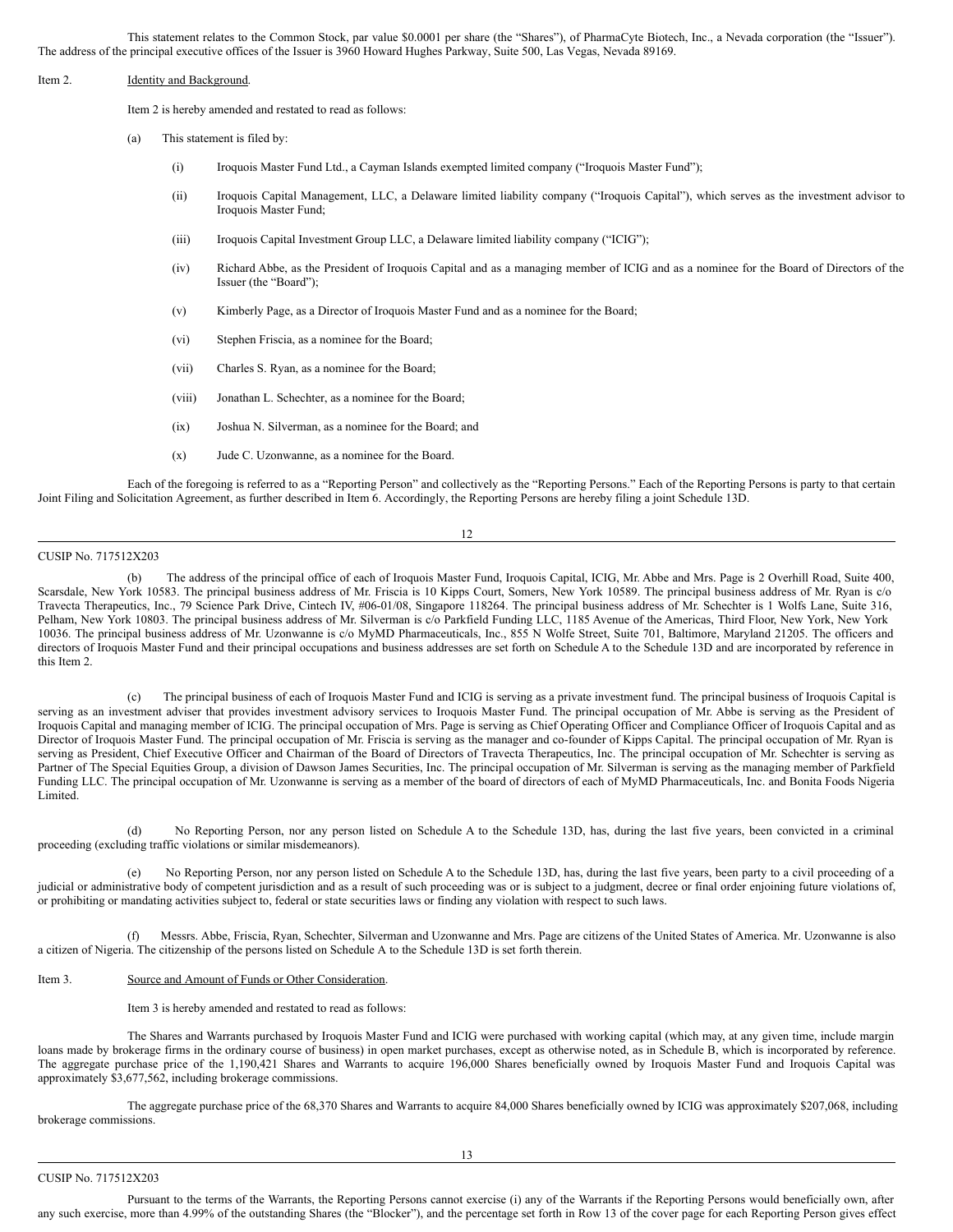This statement relates to the Common Stock, par value \$0.0001 per share (the "Shares"), of PharmaCyte Biotech, Inc., a Nevada corporation (the "Issuer"). The address of the principal executive offices of the Issuer is 3960 Howard Hughes Parkway, Suite 500, Las Vegas, Nevada 89169.

### Item 2. Identity and Background.

Item 2 is hereby amended and restated to read as follows:

(a) This statement is filed by:

- (i) Iroquois Master Fund Ltd., a Cayman Islands exempted limited company ("Iroquois Master Fund");
- (ii) Iroquois Capital Management, LLC, a Delaware limited liability company ("Iroquois Capital"), which serves as the investment advisor to Iroquois Master Fund;
- (iii) Iroquois Capital Investment Group LLC, a Delaware limited liability company ("ICIG");
- (iv) Richard Abbe, as the President of Iroquois Capital and as a managing member of ICIG and as a nominee for the Board of Directors of the Issuer (the "Board");
- (v) Kimberly Page, as a Director of Iroquois Master Fund and as a nominee for the Board;
- (vi) Stephen Friscia, as a nominee for the Board;
- (vii) Charles S. Ryan, as a nominee for the Board;
- (viii) Jonathan L. Schechter, as a nominee for the Board;
- (ix) Joshua N. Silverman, as a nominee for the Board; and
- (x) Jude C. Uzonwanne, as a nominee for the Board.

Each of the foregoing is referred to as a "Reporting Person" and collectively as the "Reporting Persons." Each of the Reporting Persons is party to that certain Joint Filing and Solicitation Agreement, as further described in Item 6. Accordingly, the Reporting Persons are hereby filing a joint Schedule 13D.

12

# CUSIP No. 717512X203

(b) The address of the principal office of each of Iroquois Master Fund, Iroquois Capital, ICIG, Mr. Abbe and Mrs. Page is 2 Overhill Road, Suite 400, Scarsdale, New York 10583. The principal business address of Mr. Friscia is 10 Kipps Court, Somers, New York 10589. The principal business address of Mr. Ryan is c/o Travecta Therapeutics, Inc., 79 Science Park Drive, Cintech IV, #06-01/08, Singapore 118264. The principal business address of Mr. Schechter is 1 Wolfs Lane, Suite 316, Pelham, New York 10803. The principal business address of Mr. Silverman is c/o Parkfield Funding LLC, 1185 Avenue of the Americas, Third Floor, New York, New York 10036. The principal business address of Mr. Uzonwanne is c/o MyMD Pharmaceuticals, Inc., 855 N Wolfe Street, Suite 701, Baltimore, Maryland 21205. The officers and directors of Iroquois Master Fund and their principal occupations and business addresses are set forth on Schedule A to the Schedule 13D and are incorporated by reference in this Item 2.

The principal business of each of Iroquois Master Fund and ICIG is serving as a private investment fund. The principal business of Iroquois Capital is serving as an investment adviser that provides investment advisory services to Iroquois Master Fund. The principal occupation of Mr. Abbe is serving as the President of Iroquois Capital and managing member of ICIG. The principal occupation of Mrs. Page is serving as Chief Operating Officer and Compliance Officer of Iroquois Capital and as Director of Iroquois Master Fund. The principal occupation of Mr. Friscia is serving as the manager and co-founder of Kipps Capital. The principal occupation of Mr. Ryan is serving as President, Chief Executive Officer and Chairman of the Board of Directors of Travecta Therapeutics, Inc. The principal occupation of Mr. Schechter is serving as Partner of The Special Equities Group, a division of Dawson James Securities, Inc. The principal occupation of Mr. Silverman is serving as the managing member of Parkfield Funding LLC. The principal occupation of Mr. Uzonwanne is serving as a member of the board of directors of each of MyMD Pharmaceuticals, Inc. and Bonita Foods Nigeria Limited.

(d) No Reporting Person, nor any person listed on Schedule A to the Schedule 13D, has, during the last five years, been convicted in a criminal proceeding (excluding traffic violations or similar misdemeanors).

(e) No Reporting Person, nor any person listed on Schedule A to the Schedule 13D, has, during the last five years, been party to a civil proceeding of a judicial or administrative body of competent jurisdiction and as a result of such proceeding was or is subject to a judgment, decree or final order enjoining future violations of, or prohibiting or mandating activities subject to, federal or state securities laws or finding any violation with respect to such laws.

Messrs. Abbe, Friscia, Ryan, Schechter, Silverman and Uzonwanne and Mrs. Page are citizens of the United States of America. Mr. Uzonwanne is also a citizen of Nigeria. The citizenship of the persons listed on Schedule A to the Schedule 13D is set forth therein.

### Item 3. Source and Amount of Funds or Other Consideration.

Item 3 is hereby amended and restated to read as follows:

The Shares and Warrants purchased by Iroquois Master Fund and ICIG were purchased with working capital (which may, at any given time, include margin loans made by brokerage firms in the ordinary course of business) in open market purchases, except as otherwise noted, as in Schedule B, which is incorporated by reference. The aggregate purchase price of the 1,190,421 Shares and Warrants to acquire 196,000 Shares beneficially owned by Iroquois Master Fund and Iroquois Capital was approximately \$3,677,562, including brokerage commissions.

The aggregate purchase price of the 68,370 Shares and Warrants to acquire 84,000 Shares beneficially owned by ICIG was approximately \$207,068, including brokerage commissions.

Pursuant to the terms of the Warrants, the Reporting Persons cannot exercise (i) any of the Warrants if the Reporting Persons would beneficially own, after any such exercise, more than 4.99% of the outstanding Shares (the "Blocker"), and the percentage set forth in Row 13 of the cover page for each Reporting Person gives effect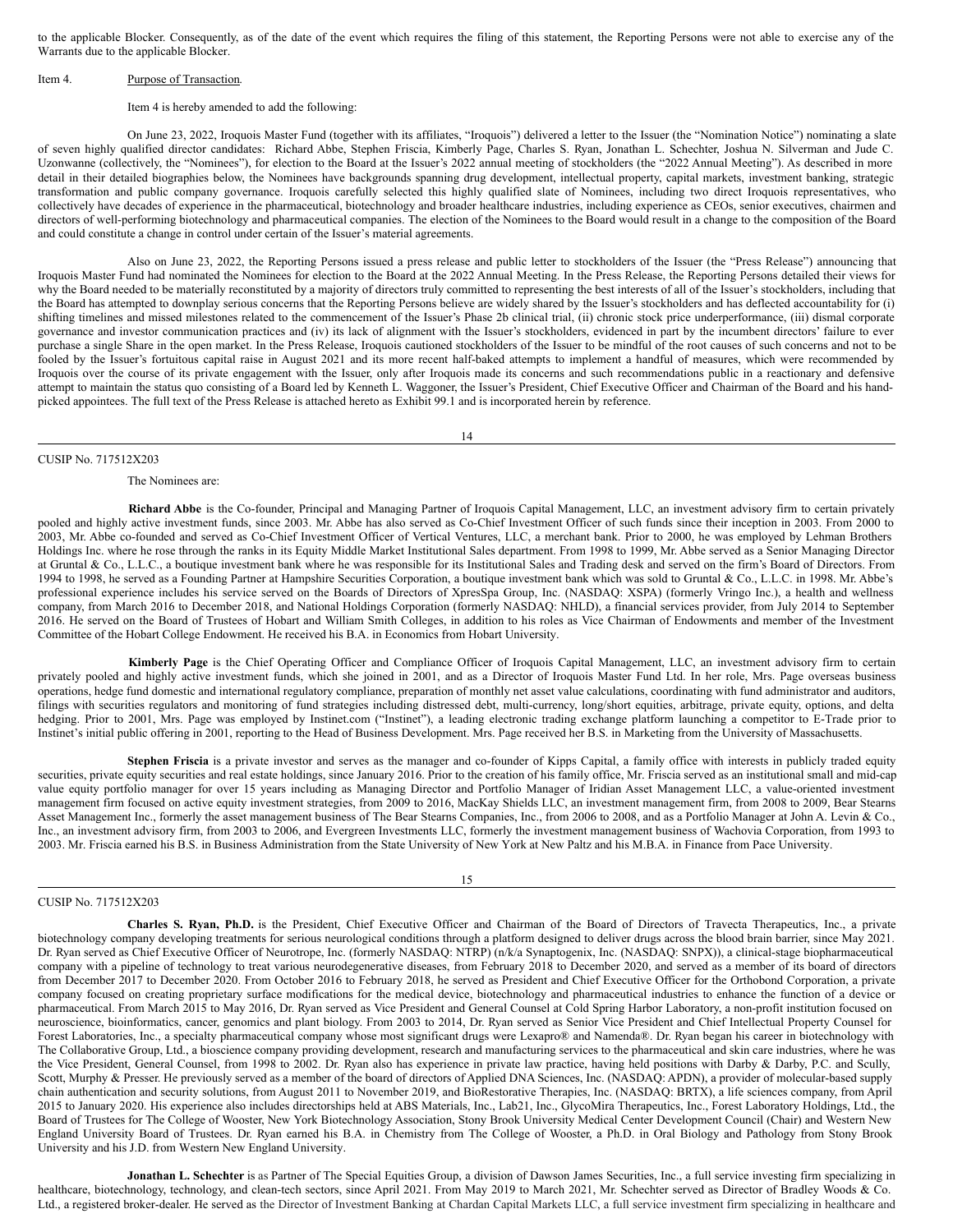to the applicable Blocker. Consequently, as of the date of the event which requires the filing of this statement, the Reporting Persons were not able to exercise any of the Warrants due to the applicable Blocker.

### Item 4. Purpose of Transaction.

### Item 4 is hereby amended to add the following:

On June 23, 2022, Iroquois Master Fund (together with its affiliates, "Iroquois") delivered a letter to the Issuer (the "Nomination Notice") nominating a slate of seven highly qualified director candidates: Richard Abbe, Stephen Friscia, Kimberly Page, Charles S. Ryan, Jonathan L. Schechter, Joshua N. Silverman and Jude C. Uzonwanne (collectively, the "Nominees"), for election to the Board at the Issuer's 2022 annual meeting of stockholders (the "2022 Annual Meeting"). As described in more detail in their detailed biographies below, the Nominees have backgrounds spanning drug development, intellectual property, capital markets, investment banking, strategic transformation and public company governance. Iroquois carefully selected this highly qualified slate of Nominees, including two direct Iroquois representatives, who collectively have decades of experience in the pharmaceutical, biotechnology and broader healthcare industries, including experience as CEOs, senior executives, chairmen and directors of well-performing biotechnology and pharmaceutical companies. The election of the Nominees to the Board would result in a change to the composition of the Board and could constitute a change in control under certain of the Issuer's material agreements.

Also on June 23, 2022, the Reporting Persons issued a press release and public letter to stockholders of the Issuer (the "Press Release") announcing that Iroquois Master Fund had nominated the Nominees for election to the Board at the 2022 Annual Meeting. In the Press Release, the Reporting Persons detailed their views for why the Board needed to be materially reconstituted by a majority of directors truly committed to representing the best interests of all of the Issuer's stockholders, including that the Board has attempted to downplay serious concerns that the Reporting Persons believe are widely shared by the Issuer's stockholders and has deflected accountability for (i) shifting timelines and missed milestones related to the commencement of the Issuer's Phase 2b clinical trial, (ii) chronic stock price underperformance, (iii) dismal corporate governance and investor communication practices and (iv) its lack of alignment with the Issuer's stockholders, evidenced in part by the incumbent directors' failure to ever purchase a single Share in the open market. In the Press Release, Iroquois cautioned stockholders of the Issuer to be mindful of the root causes of such concerns and not to be fooled by the Issuer's fortuitous capital raise in August 2021 and its more recent half-baked attempts to implement a handful of measures, which were recommended by Iroquois over the course of its private engagement with the Issuer, only after Iroquois made its concerns and such recommendations public in a reactionary and defensive attempt to maintain the status quo consisting of a Board led by Kenneth L. Waggoner, the Issuer's President, Chief Executive Officer and Chairman of the Board and his handpicked appointees. The full text of the Press Release is attached hereto as Exhibit 99.1 and is incorporated herein by reference.

14

### CUSIP No. 717512X203

# The Nominees are:

**Richard Abbe** is the Co-founder, Principal and Managing Partner of Iroquois Capital Management, LLC, an investment advisory firm to certain privately pooled and highly active investment funds, since 2003. Mr. Abbe has also served as Co-Chief Investment Officer of such funds since their inception in 2003. From 2000 to 2003, Mr. Abbe co-founded and served as Co-Chief Investment Officer of Vertical Ventures, LLC, a merchant bank. Prior to 2000, he was employed by Lehman Brothers Holdings Inc. where he rose through the ranks in its Equity Middle Market Institutional Sales department. From 1998 to 1999, Mr. Abbe served as a Senior Managing Director at Gruntal & Co., L.L.C., a boutique investment bank where he was responsible for its Institutional Sales and Trading desk and served on the firm's Board of Directors. From 1994 to 1998, he served as a Founding Partner at Hampshire Securities Corporation, a boutique investment bank which was sold to Gruntal & Co., L.L.C. in 1998. Mr. Abbe's professional experience includes his service served on the Boards of Directors of XpresSpa Group, Inc. (NASDAQ: XSPA) (formerly Vringo Inc.), a health and wellness company, from March 2016 to December 2018, and National Holdings Corporation (formerly NASDAQ: NHLD), a financial services provider, from July 2014 to September 2016. He served on the Board of Trustees of Hobart and William Smith Colleges, in addition to his roles as Vice Chairman of Endowments and member of the Investment Committee of the Hobart College Endowment. He received his B.A. in Economics from Hobart University.

**Kimberly Page** is the Chief Operating Officer and Compliance Officer of Iroquois Capital Management, LLC, an investment advisory firm to certain privately pooled and highly active investment funds, which she joined in 2001, and as a Director of Iroquois Master Fund Ltd. In her role, Mrs. Page overseas business operations, hedge fund domestic and international regulatory compliance, preparation of monthly net asset value calculations, coordinating with fund administrator and auditors, filings with securities regulators and monitoring of fund strategies including distressed debt, multi-currency, long/short equities, arbitrage, private equity, options, and delta hedging. Prior to 2001, Mrs. Page was employed by Instinet.com ("Instinet"), a leading electronic trading exchange platform launching a competitor to E-Trade prior to Instinet's initial public offering in 2001, reporting to the Head of Business Development. Mrs. Page received her B.S. in Marketing from the University of Massachusetts.

**Stephen Friscia** is a private investor and serves as the manager and co-founder of Kipps Capital, a family office with interests in publicly traded equity securities, private equity securities and real estate holdings, since January 2016. Prior to the creation of his family office, Mr. Friscia served as an institutional small and mid-cap value equity portfolio manager for over 15 years including as Managing Director and Portfolio Manager of Iridian Asset Management LLC, a value-oriented investment management firm focused on active equity investment strategies, from 2009 to 2016, MacKay Shields LLC, an investment management firm, from 2008 to 2009, Bear Stearns Asset Management Inc., formerly the asset management business of The Bear Stearns Companies, Inc., from 2006 to 2008, and as a Portfolio Manager at John A. Levin & Co., Inc., an investment advisory firm, from 2003 to 2006, and Evergreen Investments LLC, formerly the investment management business of Wachovia Corporation, from 1993 to 2003. Mr. Friscia earned his B.S. in Business Administration from the State University of New York at New Paltz and his M.B.A. in Finance from Pace University.

#### 15

## CUSIP No. 717512X203

**Charles S. Ryan, Ph.D.** is the President, Chief Executive Officer and Chairman of the Board of Directors of Travecta Therapeutics, Inc., a private biotechnology company developing treatments for serious neurological conditions through a platform designed to deliver drugs across the blood brain barrier, since May 2021. Dr. Ryan served as Chief Executive Officer of Neurotrope, Inc. (formerly NASDAQ: NTRP) (n/k/a Synaptogenix, Inc. (NASDAQ: SNPX)), a clinical-stage biopharmaceutical company with a pipeline of technology to treat various neurodegenerative diseases, from February 2018 to December 2020, and served as a member of its board of directors from December 2017 to December 2020. From October 2016 to February 2018, he served as President and Chief Executive Officer for the Orthobond Corporation, a private company focused on creating proprietary surface modifications for the medical device, biotechnology and pharmaceutical industries to enhance the function of a device or pharmaceutical. From March 2015 to May 2016, Dr. Ryan served as Vice President and General Counsel at Cold Spring Harbor Laboratory, a non-profit institution focused on neuroscience, bioinformatics, cancer, genomics and plant biology. From 2003 to 2014, Dr. Ryan served as Senior Vice President and Chief Intellectual Property Counsel for Forest Laboratories, Inc., a specialty pharmaceutical company whose most significant drugs were Lexapro® and Namenda®. Dr. Ryan began his career in biotechnology with The Collaborative Group, Ltd., a bioscience company providing development, research and manufacturing services to the pharmaceutical and skin care industries, where he was the Vice President, General Counsel, from 1998 to 2002. Dr. Ryan also has experience in private law practice, having held positions with Darby & Darby, P.C. and Scully, Scott, Murphy & Presser. He previously served as a member of the board of directors of Applied DNA Sciences, Inc. (NASDAQ: APDN), a provider of molecular-based supply chain authentication and security solutions, from August 2011 to November 2019, and BioRestorative Therapies, Inc. (NASDAQ: BRTX), a life sciences company, from April 2015 to January 2020. His experience also includes directorships held at ABS Materials, Inc., Lab21, Inc., GlycoMira Therapeutics, Inc., Forest Laboratory Holdings, Ltd., the Board of Trustees for The College of Wooster, New York Biotechnology Association, Stony Brook University Medical Center Development Council (Chair) and Western New England University Board of Trustees. Dr. Ryan earned his B.A. in Chemistry from The College of Wooster, a Ph.D. in Oral Biology and Pathology from Stony Brook University and his J.D. from Western New England University.

**Jonathan L. Schechter** is as Partner of The Special Equities Group, a division of Dawson James Securities, Inc., a full service investing firm specializing in healthcare, biotechnology, technology, and clean-tech sectors, since April 2021. From May 2019 to March 2021, Mr. Schechter served as Director of Bradley Woods & Co. Ltd., a registered broker-dealer. He served as the Director of Investment Banking at Chardan Capital Markets LLC, a full service investment firm specializing in healthcare and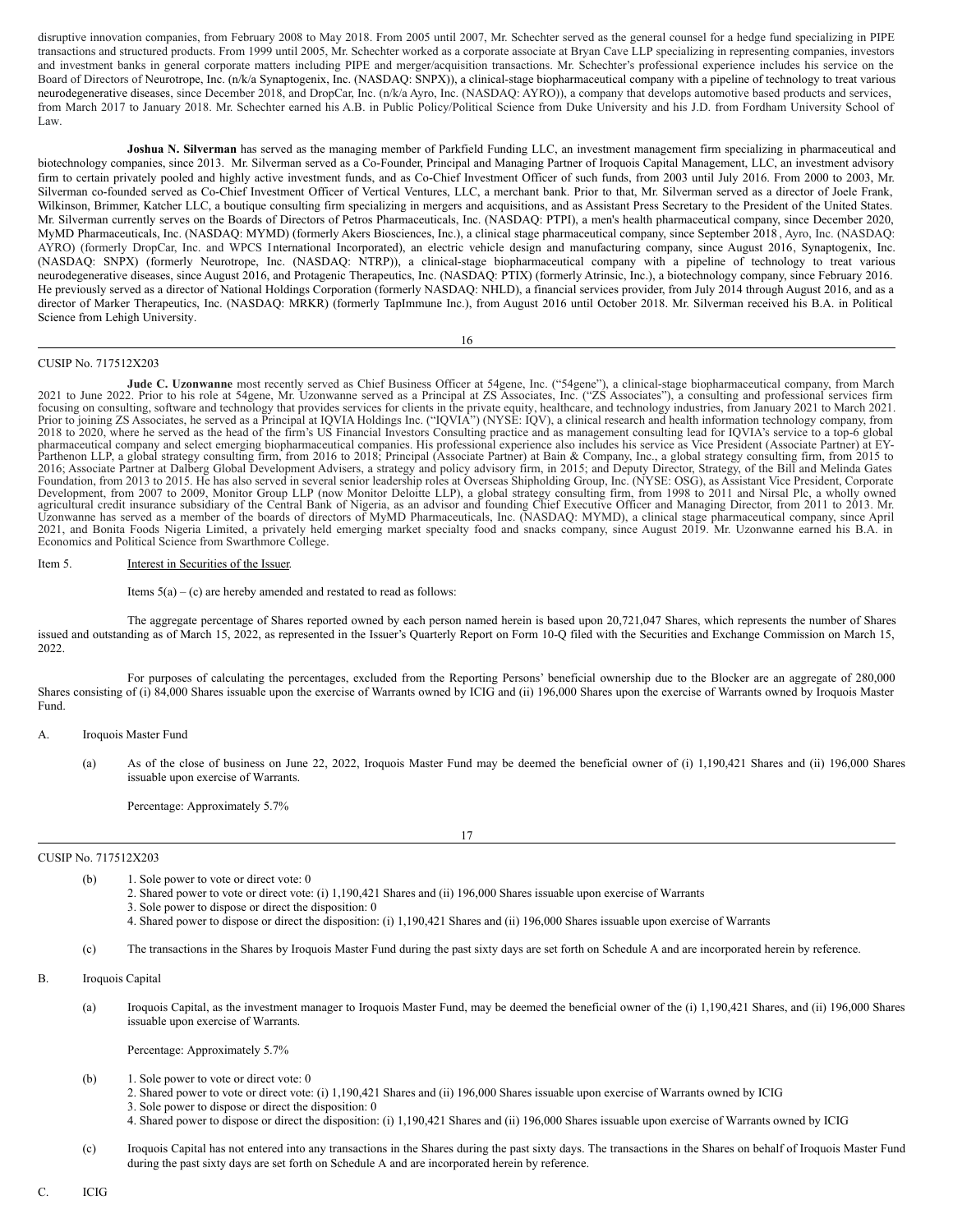disruptive innovation companies, from February 2008 to May 2018. From 2005 until 2007, Mr. Schechter served as the general counsel for a hedge fund specializing in PIPE transactions and structured products. From 1999 until 2005, Mr. Schechter worked as a corporate associate at Bryan Cave LLP specializing in representing companies, investors and investment banks in general corporate matters including PIPE and merger/acquisition transactions. Mr. Schechter's professional experience includes his service on the Board of Directors of Neurotrope, Inc. (n/k/a Synaptogenix, Inc. (NASDAQ: SNPX)), a clinical-stage biopharmaceutical company with a pipeline of technology to treat various neurodegenerative diseases, since December 2018, and DropCar, Inc. (n/k/a Ayro, Inc. (NASDAQ: AYRO)), a company that develops automotive based products and services, from March 2017 to January 2018. Mr. Schechter earned his A.B. in Public Policy/Political Science from Duke University and his J.D. from Fordham University School of Law.

**Joshua N. Silverman** has served as the managing member of Parkfield Funding LLC, an investment management firm specializing in pharmaceutical and biotechnology companies, since 2013. Mr. Silverman served as a Co-Founder, Principal and Managing Partner of Iroquois Capital Management, LLC, an investment advisory firm to certain privately pooled and highly active investment funds, and as Co-Chief Investment Officer of such funds, from 2003 until July 2016. From 2000 to 2003, Mr. Silverman co-founded served as Co-Chief Investment Officer of Vertical Ventures, LLC, a merchant bank. Prior to that, Mr. Silverman served as a director of Joele Frank, Wilkinson, Brimmer, Katcher LLC, a boutique consulting firm specializing in mergers and acquisitions, and as Assistant Press Secretary to the President of the United States. Mr. Silverman currently serves on the Boards of Directors of Petros Pharmaceuticals, Inc. (NASDAQ: PTPI), a men's health pharmaceutical company, since December 2020, MyMD Pharmaceuticals, Inc. (NASDAQ: MYMD) (formerly Akers Biosciences, Inc.), a clinical stage pharmaceutical company, since September 2018 , Ayro, Inc. (NASDAQ: AYRO) (formerly DropCar, Inc. and WPCS I nternational Incorporated), an electric vehicle design and manufacturing company, since August 2016, Synaptogenix, Inc. (NASDAQ: SNPX) (formerly Neurotrope, Inc. (NASDAQ: NTRP)), a clinical-stage biopharmaceutical company with a pipeline of technology to treat various neurodegenerative diseases, since August 2016, and Protagenic Therapeutics, Inc. (NASDAQ: PTIX) (formerly Atrinsic, Inc.), a biotechnology company, since February 2016. He previously served as a director of National Holdings Corporation (formerly NASDAQ: NHLD), a financial services provider, from July 2014 through August 2016, and as a director of Marker Therapeutics, Inc. (NASDAQ: MRKR) (formerly TapImmune Inc.), from August 2016 until October 2018. Mr. Silverman received his B.A. in Political Science from Lehigh University.

### 16

### CUSIP No. 717512X203

Jude C. Uzonwanne most recently served as Chief Business Officer at 54gene, Inc. ("54gene"), a clinical-stage biopharmaceutical company, from March 2021 to June 2022. Prior to his role at 54gene, Mr. Uzonwanne served as a Principal at ZS Associates, Inc. ("ZS Associates"), a consulting and professional services firm focusing on consulting, software and technology that Prior to joining ZS Associates, he served as a Principal at IQVIA Holdings Inc. ("IQVIA") (NYSE: IQV), a clinical research and health information technology company, from<br>2018 to 2020, where he served as the head of the fi Parthenon LLP, a global strategy consulting firm, from 2016 to 2018; Principal (Associate Partner) at Bain & Company, Inc., a global strategy consulting firm, from 2015 to 2016; Associate Partner at Dalberg Global Developm Uzonwanne has served as a member of the boards of directors of MyMD Pharmaceuticals, Inc. (NASDAQ: MYMD), a clinical stage pharmaceutical company, since April<br>2021, and Bonita Foods Nigeria Limited, a privately held emergi Economics and Political Science from Swarthmore College.

# Item 5. **Interest in Securities of the Issuer.**

Items  $5(a) - (c)$  are hereby amended and restated to read as follows:

The aggregate percentage of Shares reported owned by each person named herein is based upon 20,721,047 Shares, which represents the number of Shares issued and outstanding as of March 15, 2022, as represented in the Issuer's Quarterly Report on Form 10-Q filed with the Securities and Exchange Commission on March 15, 2022.

For purposes of calculating the percentages, excluded from the Reporting Persons' beneficial ownership due to the Blocker are an aggregate of 280,000 Shares consisting of (i) 84,000 Shares issuable upon the exercise of Warrants owned by ICIG and (ii) 196,000 Shares upon the exercise of Warrants owned by Iroquois Master Fund.

A. Iroquois Master Fund

(a) As of the close of business on June 22, 2022, Iroquois Master Fund may be deemed the beneficial owner of (i) 1,190,421 Shares and (ii) 196,000 Shares issuable upon exercise of Warrants.

Percentage: Approximately 5.7%

### CUSIP No. 717512X203

17

(b) 1. Sole power to vote or direct vote: 0

2. Shared power to vote or direct vote: (i) 1,190,421 Shares and (ii) 196,000 Shares issuable upon exercise of Warrants

3. Sole power to dispose or direct the disposition: 0

- 4. Shared power to dispose or direct the disposition: (i) 1,190,421 Shares and (ii) 196,000 Shares issuable upon exercise of Warrants
- (c) The transactions in the Shares by Iroquois Master Fund during the past sixty days are set forth on Schedule A and are incorporated herein by reference.

B. Iroquois Capital

(a) Iroquois Capital, as the investment manager to Iroquois Master Fund, may be deemed the beneficial owner of the (i) 1,190,421 Shares, and (ii) 196,000 Shares issuable upon exercise of Warrants.

Percentage: Approximately 5.7%

- (b) 1. Sole power to vote or direct vote: 0
	- 2. Shared power to vote or direct vote: (i) 1,190,421 Shares and (ii) 196,000 Shares issuable upon exercise of Warrants owned by ICIG
	- 3. Sole power to dispose or direct the disposition: 0
	- 4. Shared power to dispose or direct the disposition: (i) 1,190,421 Shares and (ii) 196,000 Shares issuable upon exercise of Warrants owned by ICIG
- (c) Iroquois Capital has not entered into any transactions in the Shares during the past sixty days. The transactions in the Shares on behalf of Iroquois Master Fund during the past sixty days are set forth on Schedule A and are incorporated herein by reference.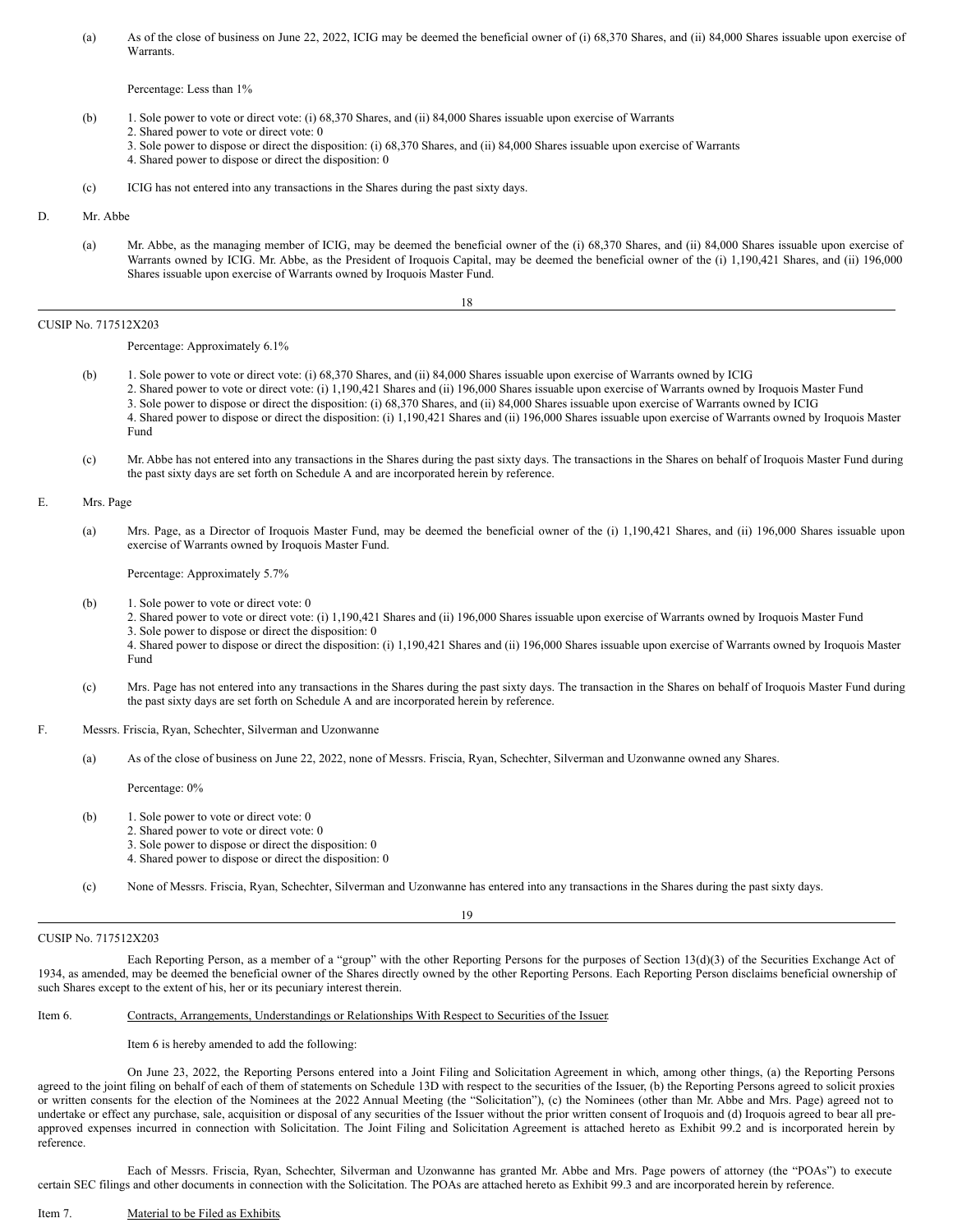(a) As of the close of business on June 22, 2022, ICIG may be deemed the beneficial owner of (i) 68,370 Shares, and (ii) 84,000 Shares issuable upon exercise of Warrants.

Percentage: Less than 1%

- (b) 1. Sole power to vote or direct vote: (i) 68,370 Shares, and (ii) 84,000 Shares issuable upon exercise of Warrants
	- 2. Shared power to vote or direct vote: 0
	- 3. Sole power to dispose or direct the disposition: (i) 68,370 Shares, and (ii) 84,000 Shares issuable upon exercise of Warrants
	- 4. Shared power to dispose or direct the disposition: 0
- (c) ICIG has not entered into any transactions in the Shares during the past sixty days.

### D. Mr. Abbe

(a) Mr. Abbe, as the managing member of ICIG, may be deemed the beneficial owner of the (i) 68,370 Shares, and (ii) 84,000 Shares issuable upon exercise of Warrants owned by ICIG. Mr. Abbe, as the President of Iroquois Capital, may be deemed the beneficial owner of the (i) 1,190,421 Shares, and (ii) 196,000 Shares issuable upon exercise of Warrants owned by Iroquois Master Fund.

# CUSIP No. 717512X203

Percentage: Approximately 6.1%

- (b) 1. Sole power to vote or direct vote: (i) 68,370 Shares, and (ii) 84,000 Shares issuable upon exercise of Warrants owned by ICIG 2. Shared power to vote or direct vote: (i) 1,190,421 Shares and (ii) 196,000 Shares issuable upon exercise of Warrants owned by Iroquois Master Fund 3. Sole power to dispose or direct the disposition: (i) 68,370 Shares, and (ii) 84,000 Shares issuable upon exercise of Warrants owned by ICIG 4. Shared power to dispose or direct the disposition: (i) 1,190,421 Shares and (ii) 196,000 Shares issuable upon exercise of Warrants owned by Iroquois Master Fund
- (c) Mr. Abbe has not entered into any transactions in the Shares during the past sixty days. The transactions in the Shares on behalf of Iroquois Master Fund during the past sixty days are set forth on Schedule A and are incorporated herein by reference.

# E. Mrs. Page

(a) Mrs. Page, as a Director of Iroquois Master Fund, may be deemed the beneficial owner of the (i) 1,190,421 Shares, and (ii) 196,000 Shares issuable upon exercise of Warrants owned by Iroquois Master Fund.

### Percentage: Approximately 5.7%

(b) 1. Sole power to vote or direct vote: 0

2. Shared power to vote or direct vote: (i) 1,190,421 Shares and (ii) 196,000 Shares issuable upon exercise of Warrants owned by Iroquois Master Fund 3. Sole power to dispose or direct the disposition: 0

4. Shared power to dispose or direct the disposition: (i) 1,190,421 Shares and (ii) 196,000 Shares issuable upon exercise of Warrants owned by Iroquois Master Fund

- (c) Mrs. Page has not entered into any transactions in the Shares during the past sixty days. The transaction in the Shares on behalf of Iroquois Master Fund during the past sixty days are set forth on Schedule A and are incorporated herein by reference.
- F. Messrs. Friscia, Ryan, Schechter, Silverman and Uzonwanne
	- (a) As of the close of business on June 22, 2022, none of Messrs. Friscia, Ryan, Schechter, Silverman and Uzonwanne owned any Shares.

Percentage: 0%

- (b) 1. Sole power to vote or direct vote: 0
	- 2. Shared power to vote or direct vote: 0
	- 3. Sole power to dispose or direct the disposition: 0
	- 4. Shared power to dispose or direct the disposition: 0

(c) None of Messrs. Friscia, Ryan, Schechter, Silverman and Uzonwanne has entered into any transactions in the Shares during the past sixty days.

19

# CUSIP No. 717512X203

Each Reporting Person, as a member of a "group" with the other Reporting Persons for the purposes of Section 13(d)(3) of the Securities Exchange Act of 1934, as amended, may be deemed the beneficial owner of the Shares directly owned by the other Reporting Persons. Each Reporting Person disclaims beneficial ownership of such Shares except to the extent of his, her or its pecuniary interest therein.

# Item 6. Contracts, Arrangements, Understandings or Relationships With Respect to Securities of the Issuer.

Item 6 is hereby amended to add the following:

On June 23, 2022, the Reporting Persons entered into a Joint Filing and Solicitation Agreement in which, among other things, (a) the Reporting Persons agreed to the joint filing on behalf of each of them of statements on Schedule 13D with respect to the securities of the Issuer, (b) the Reporting Persons agreed to solicit proxies or written consents for the election of the Nominees at the 2022 Annual Meeting (the "Solicitation"), (c) the Nominees (other than Mr. Abbe and Mrs. Page) agreed not to undertake or effect any purchase, sale, acquisition or disposal of any securities of the Issuer without the prior written consent of Iroquois and (d) Iroquois agreed to bear all preapproved expenses incurred in connection with Solicitation. The Joint Filing and Solicitation Agreement is attached hereto as Exhibit 99.2 and is incorporated herein by reference.

Each of Messrs. Friscia, Ryan, Schechter, Silverman and Uzonwanne has granted Mr. Abbe and Mrs. Page powers of attorney (the "POAs") to execute certain SEC filings and other documents in connection with the Solicitation. The POAs are attached hereto as Exhibit 99.3 and are incorporated herein by reference.

### Item 7. Material to be Filed as Exhibits.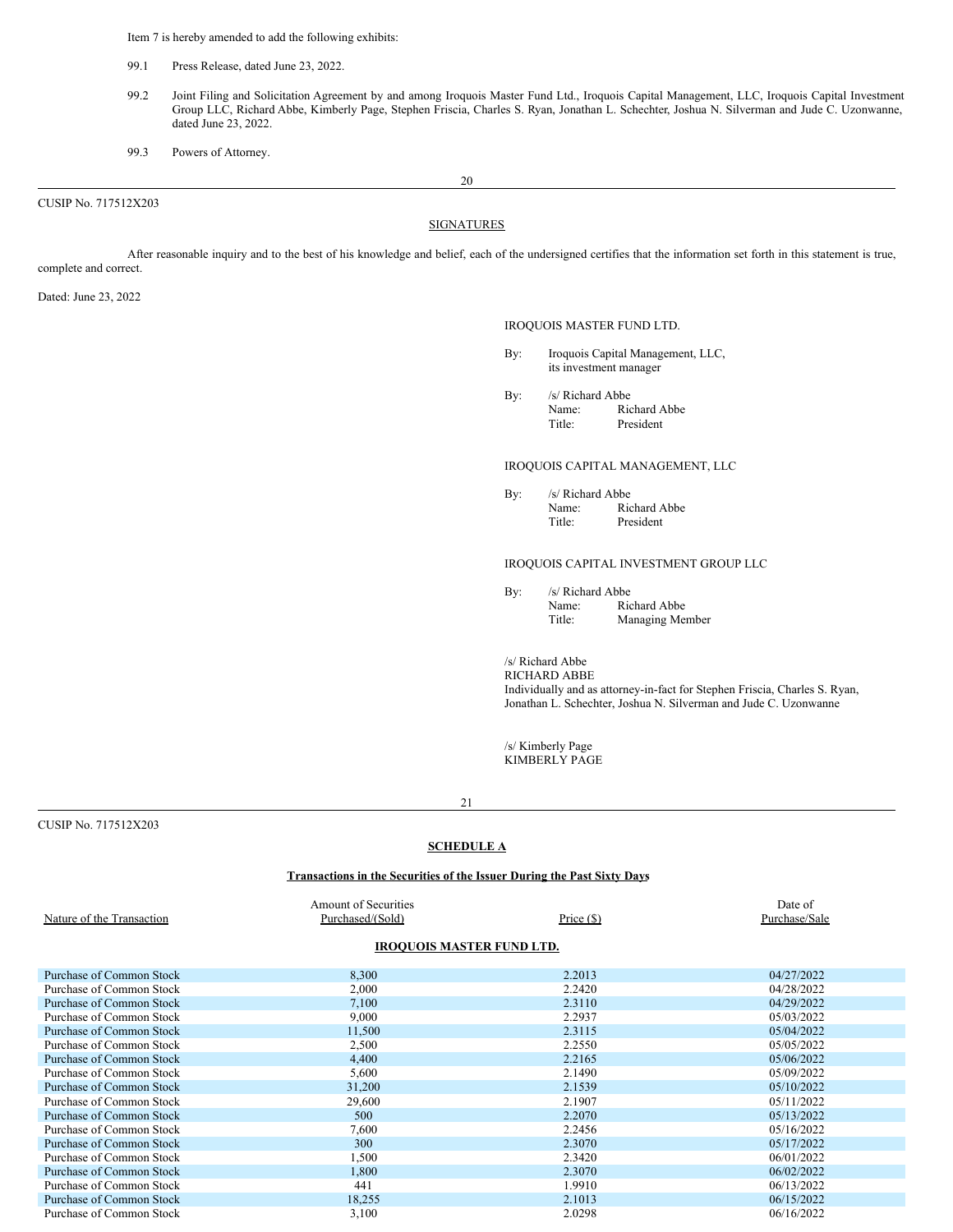Item 7 is hereby amended to add the following exhibits:

- 99.1 Press Release, dated June 23, 2022.
- 99.2 Joint Filing and Solicitation Agreement by and among Iroquois Master Fund Ltd., Iroquois Capital Management, LLC, Iroquois Capital Investment Group LLC, Richard Abbe, Kimberly Page, Stephen Friscia, Charles S. Ryan, Jonathan L. Schechter, Joshua N. Silverman and Jude C. Uzonwanne, dated June 23, 2022.
- 99.3 Powers of Attorney.

CUSIP No. 717512X203

20

# **SIGNATURES**

After reasonable inquiry and to the best of his knowledge and belief, each of the undersigned certifies that the information set forth in this statement is true, complete and correct.

Dated: June 23, 2022

# IROQUOIS MASTER FUND LTD.

- By: Iroquois Capital Management, LLC, its investment manager
- By: /s/ Richard Abbe Name: Richard Abbe Title: President

# IROQUOIS CAPITAL MANAGEMENT, LLC

By: /s/ Richard Abbe Name: Richard Abbe Title: President

# IROQUOIS CAPITAL INVESTMENT GROUP LLC

By: /s/ Richard Abbe Name: Richard Abbe Title: Managing Member

/s/ Richard Abbe

RICHARD ABBE Individually and as attorney-in-fact for Stephen Friscia, Charles S. Ryan, Jonathan L. Schechter, Joshua N. Silverman and Jude C. Uzonwanne

/s/ Kimberly Page KIMBERLY PAGE

CUSIP No. 717512X203

# **SCHEDULE A**

# **Transactions in the Securities of the Issuer During the Past Sixty Days**

| Nature of the Transaction       | Amount of Securities<br>Purchased/(Sold) | Price $(\$)$ | Date of<br>Purchase/Sale |
|---------------------------------|------------------------------------------|--------------|--------------------------|
|                                 | <b>IROQUOIS MASTER FUND LTD.</b>         |              |                          |
| Purchase of Common Stock        | 8,300                                    | 2.2013       | 04/27/2022               |
| Purchase of Common Stock        | 2,000                                    | 2.2420       | 04/28/2022               |
| Purchase of Common Stock        | 7,100                                    | 2.3110       | 04/29/2022               |
| Purchase of Common Stock        | 9,000                                    | 2.2937       | 05/03/2022               |
| <b>Purchase of Common Stock</b> | 11,500                                   | 2.3115       | 05/04/2022               |
| Purchase of Common Stock        | 2,500                                    | 2.2550       | 05/05/2022               |
| Purchase of Common Stock        | 4,400                                    | 2.2165       | 05/06/2022               |
| Purchase of Common Stock        | 5,600                                    | 2.1490       | 05/09/2022               |
| Purchase of Common Stock        | 31,200                                   | 2.1539       | 05/10/2022               |
| Purchase of Common Stock        | 29,600                                   | 2.1907       | 05/11/2022               |
| Purchase of Common Stock        | 500                                      | 2.2070       | 05/13/2022               |
| Purchase of Common Stock        | 7,600                                    | 2.2456       | 05/16/2022               |
| Purchase of Common Stock        | 300                                      | 2.3070       | 05/17/2022               |
| Purchase of Common Stock        | 1,500                                    | 2.3420       | 06/01/2022               |
| Purchase of Common Stock        | 1,800                                    | 2.3070       | 06/02/2022               |

Purchase of Common Stock 441 1.9910 06/13/2022<br>
Purchase of Common Stock 18,255 2.1013 06/15/2022

Purchase of Common Stock 3,100 2.0298 06/16/2022 2.0298 06/16/2022

Purchase of Common Stock 18,255 2.1013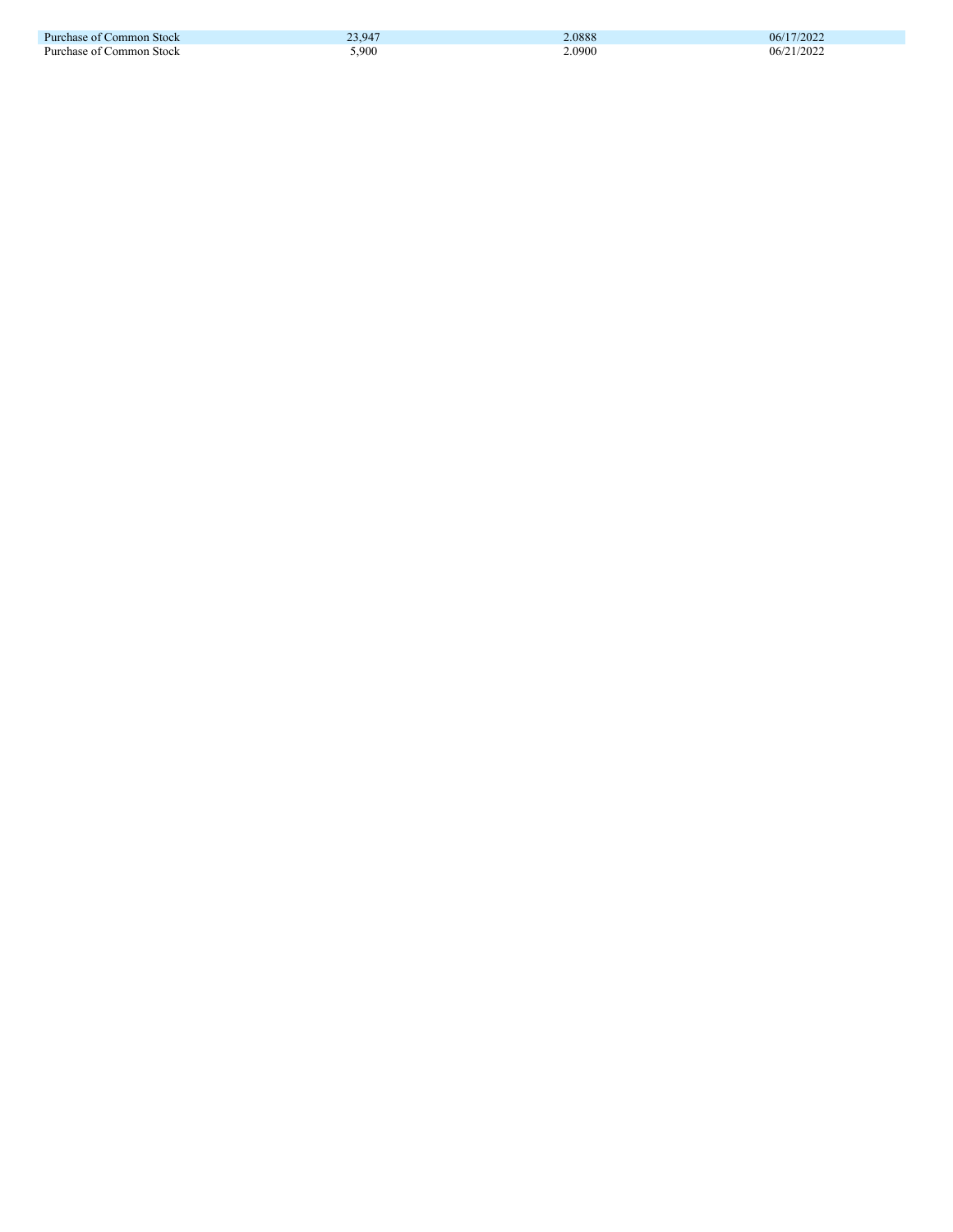| Purchase of Common Stock      | 23.947<br>ر . ب | 2.0888 | 06/17/2022 |
|-------------------------------|-----------------|--------|------------|
| Purchase of C<br>∴ommon Stock | .900            | 2.0900 | 06/21/2022 |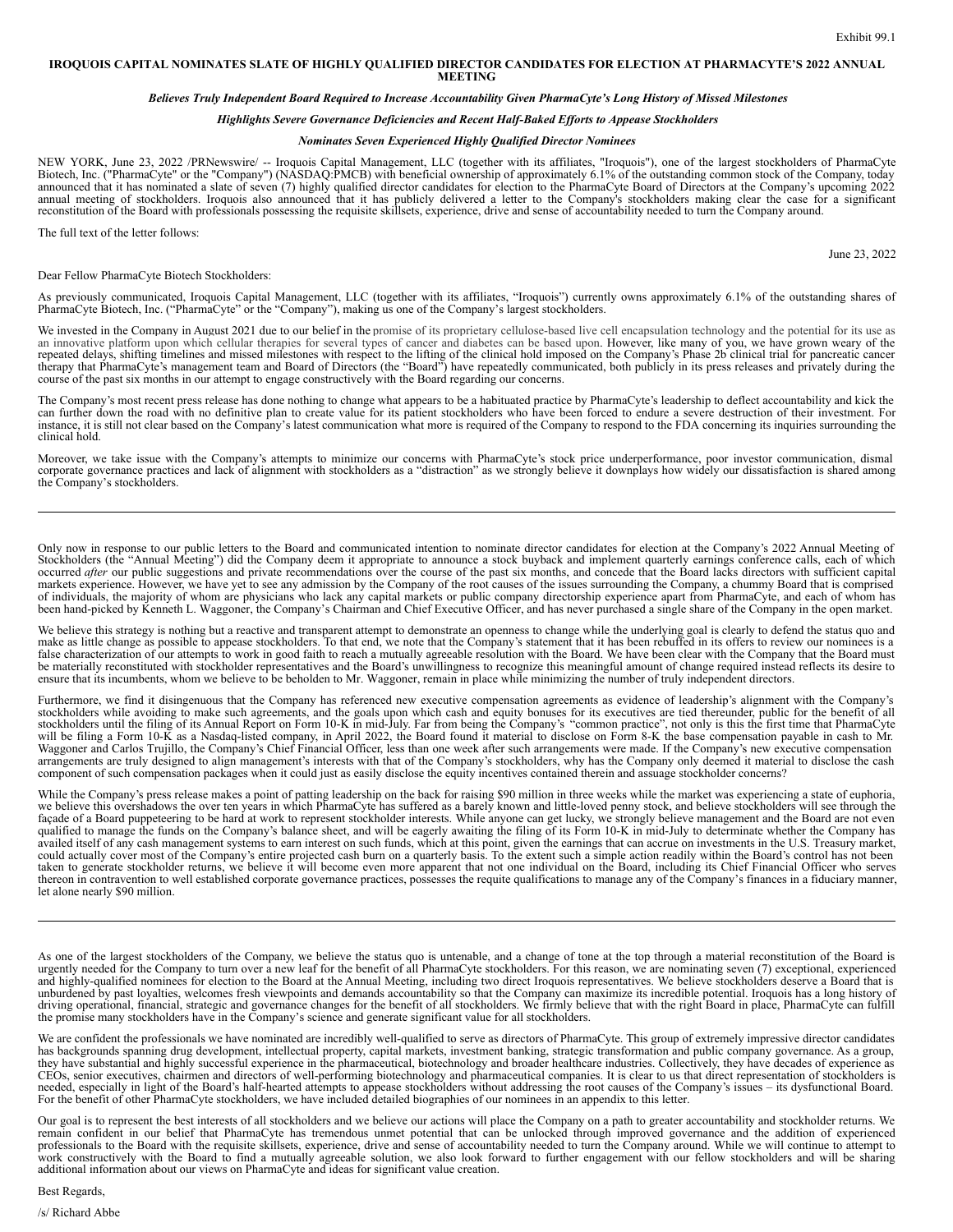### **IROQUOIS CAPITAL NOMINATES SLATE OF HIGHLY QUALIFIED DIRECTOR CANDIDATES FOR ELECTION AT PHARMACYTE'S 2022 ANNUAL MEETING**

# Believes Truly Independent Board Required to Increase Accountability Given PharmaCyte's Long History of Missed Milestones

# *Highlights Severe Governance Deficiencies and Recent Half-Baked Ef orts to Appease Stockholders*

### *Nominates Seven Experienced Highly Qualified Director Nominees*

NEW YORK, June 23, 2022 /PRNewswire/ -- Iroquois Capital Management, LLC (together with its affiliates, "Iroquois"), one of the largest stockholders of PharmaCyte<br>Biotech, Inc. ("PharmaCyte" or the "Company") (NASDAQ:PMCB) announced that it has nominated a slate of seven (7) highly qualified director candidates for election to the PharmaCyte Board of Directors at the Company's upcoming 2022 annual meeting of stockholders. Iroquois also annou

The full text of the letter follows:

Dear Fellow PharmaCyte Biotech Stockholders:

As previously communicated, Iroquois Capital Management, LLC (together with its affiliates, "Iroquois") currently owns approximately 6.1% of the outstanding shares of PharmaCyte Biotech, Inc. ("PharmaCyte" or the "Company"

We invested in the Company in August 2021 due to our belief in the promise of its proprietary cellulose-based live cell encapsulation technology and the potential for its use as an innovative platform upon which cellular t repeated delays, shifting timelines and missed milestones with respect to the lifting of the clinical hold imposed on the Company's Phase 2b clinical trial for pancreatic cancer<br>therapy that PharmaCyte's management team an course of the past six months in our attempt to engage constructively with the Board regarding our concerns.

The Company's most recent press release has done nothing to change what appears to be a habituated practice by PharmaCyte's leadership to deflect accountability and kick the can further down the road with no definitive plan to create value for its patient stockholders who have been forced to endure a severe destruction of their investment. For instance, it is still not clear based on the Company's latest communication what more is required of the Company to respond to the FDA concerning its inquiries surrounding the clinical hold.

Moreover, we take issue with the Company's attempts to minimize our concerns with PharmaCyte's stock price underperformance, poor investor communication, dismal corporate governance practices and lack of alignment with stockholders as a "distraction" as we strongly believe it downplays how widely our dissatisfaction is shared among the Company's stockholders.

Only now in response to our public letters to the Board and communicated intention to nominate director candidates for election at the Company's 2022 Annual Meeting of Stockholders (the "Annual Meeting") did the Company deem it appropriate to announce a stock buyback and implement quarterly earnings conference calls, each of which occurred *after* our public suggestions and private recommendations over the course of the past six months, and concede that the Board lacks directors with sufficient capital markets experience. However, we have yet to see any admission by the Company of the root causes of the issues surrounding the Company, a chummy Board that is comprised of individuals, the majority of whom are physicians who lack any capital markets or public company directorship experience apart from PharmaCyte, and each of whom has been hand-picked by Kenneth L. Waggoner, the Company's Chairman and Chief Executive Officer, and has never purchased a single share of the Company in the open market.

We believe this strategy is nothing but a reactive and transparent attempt to demonstrate an openness to change while the underlying goal is clearly to defend the status quo and make as little change as possible to appease be materially reconstituted with stockholder representatives and the Board's unwillingness to recognize this meaningful amount of change required instead reflects its desire to ensure that its incumbents, whom we believe t

Furthermore, we find it disingenuous that the Company has referenced new executive compensation agreements as evidence of leadership's alignment with the Company's stockholders while avoiding to make such agreements, and the goals upon which cash and equity bonuses for its executives are tied thereunder, public for the benefit of all<br>stockholders until the filing of its Annual Report component of such compensation packages when it could just as easily disclose the equity incentives contained therein and assuage stockholder concerns?

While the Company's press release makes a point of patting leadership on the back for raising \$90 million in three weeks while the market was experiencing a state of euphoria, we believe this overshadows the over ten years in which PharmaCyte has suffered as a barely known and little-loved penny stock, and believe stockholders will see through the façade of a Board puppeteering to be hard at wor qualified to manage the funds on the Company's balance sheet, and will be eagerly awaiting the filing of its Form 10-K in mid-July to determinate whether the Company has availed itself of any cash management systems to ear taken to generate stockholder returns, we believe it will become even more apparent that not one individual on the Board, including its Chief Financial Officer who serves thereon in contravention to well established corporate governance practices, possesses the requite qualifications to manage any of the Company's finances in a fiduciary manner, let alone nearly \$90 million.

As one of the largest stockholders of the Company, we believe the status quo is untenable, and a change of tone at the top through a material reconstitution of the Board is urgently needed for the Company to turn over a ne and highly-qualified nominees for election to the Board at the Annual Meeting, including two direct Iroquois representatives. We believe stockholders deserve a Board that is unburdened by past loyalties, welcomes fresh viewpoints and demands accountability so that the Company can maximize its incredible potential. Iroquois has a long history of driving operational, financial, strategic and governance changes for the benefit of all stockholders. We firmly believe that with the right Board in place, PharmaCyte can fulfill the promise many stockholders have in the Company's science and generate significant value for all stockholders.

We are confident the professionals we have nominated are incredibly well-qualified to serve as directors of PharmaCyte. This group of extremely impressive director candidates has backgrounds spanning drug development, intellectual property, capital markets, investment banking, strategic transformation and public company governance. As a group, they have substantial and highly successful experience in the pharmaceutical, biotechnology and broader healthcare industries. Collectively, they have decades of experience as CEOs, senior executives, chairmen and directors of well-performing biotechnology and pharmaceutical companies. It is clear to us that direct representation of stockholders is needed, especially in light of the Board's half-hearted attempts to appease stockholders without addressing the root causes of the Company's issues – its dysfunctional Board. For the benefit of other PharmaCyte stockholders, we have included detailed biographies of our nominees in an appendix to this letter.

Our goal is to represent the best interests of all stockholders and we believe our actions will place the Company on a path to greater accountability and stockholder returns. We remain confident in our belief that PharmaCyte has tremendous unmet potential that can be unlocked through improved governance and the addition of experienced professionals to the Board with the requisite skillsets, experience, drive and sense of accountability needed to turn the Company around. While we will continue to attempt to work constructively with the Board to find a mutually agreeable solution, we also look forward to further engagement with our fellow stockholders and will be sharing additional information about our views on PharmaCyte and ideas for significant value creation.

Best Regards,

/s/ Richard Abbe

June 23, 2022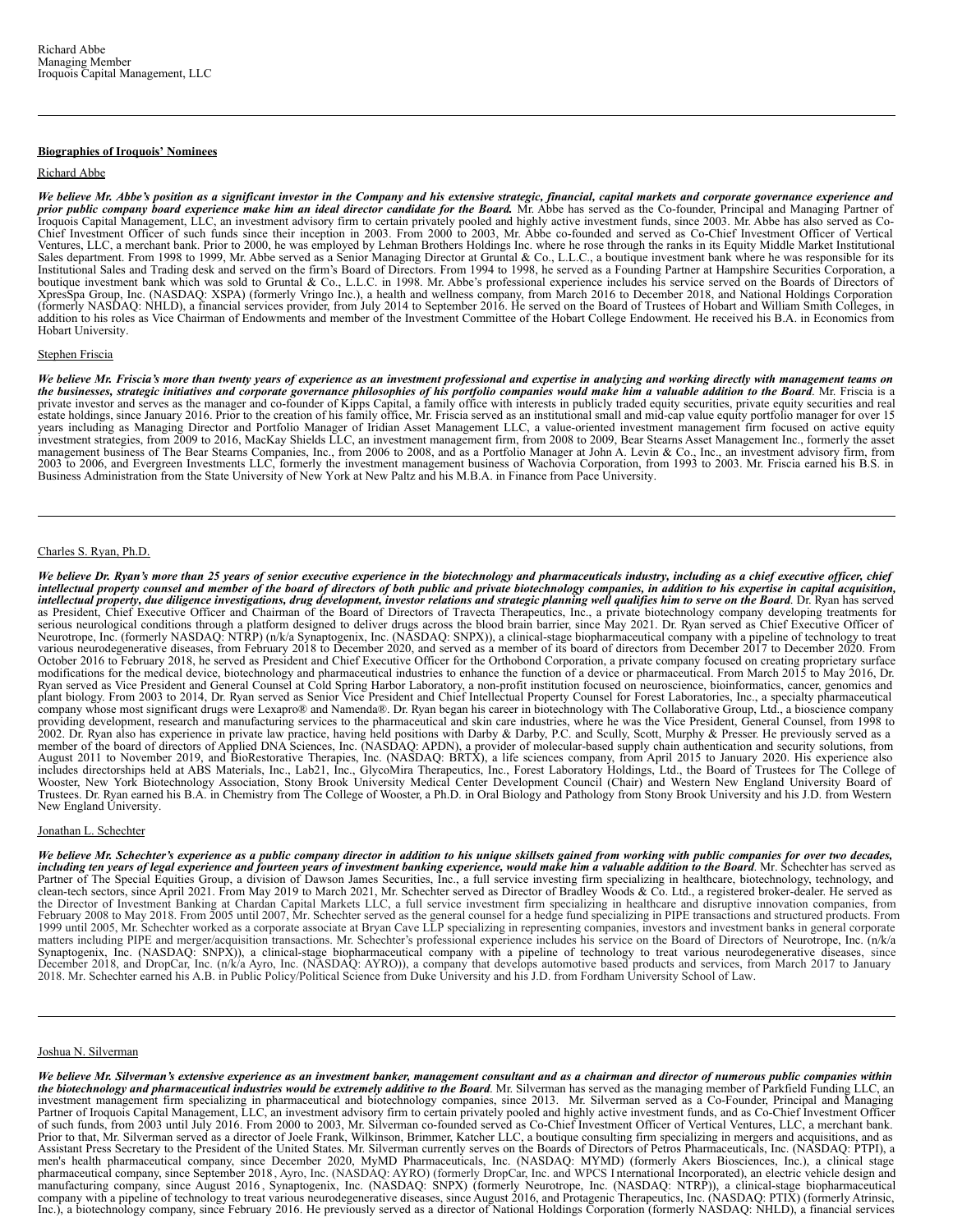## **Biographies of Iroquois' Nominees**

## Richard Abbe

We believe Mr. Abbe's position as a significant investor in the Company and his extensive strategic, financial, capital markets and corporate governance experience and prior public company board experience make him an ideal director candidate for the Board. Mr. Abbe has served as the Co-founder, Principal and Managing Partner of Iroquois Capital Management, LLC, an investment advisory firm to certain privately pooled and highly active investment funds, since 2003. Mr. Abbe has also served as Co-Chief Investment Officer of such funds since their inception in 2003. From 2000 to 2003, Mr. Abbe co-founded and served as Co-Chief Investment Officer of Vertical Ventures, LLC, a merchant bank. Prior to 2000, he was employed by Lehman Brothers Holdings Inc. where he rose through the ranks in its Equity Middle Market Institutional Sales department. From 1998 to 1999, Mr. Abbe served Institutional Sales and Trading desk and served on the firm's Board of Directors. From 1994 to 1998, he served as a Founding Partner at Hampshire Securities Corporation, a boutique investment bank which was sold to Gruntal & Co., L.L.C. in 1998. Mr. Abbe's professional experience includes his service served on the Boards of Directors of XpresSpa Group, Inc. (NASDAQ: XSPA) (formerly Vringo Inc.), a health and wellness company, from March 2016 to December 2018, and National Holdings Corporation (formerly NASDAQ: NHLD), a financial services provider, from July 2014 to September 2016. He served on the Board of Trustees of Hobart and William Smith Colleges, in<br>addition to his roles as Vice Chairman of Endowments and Hobart University.

# Stephen Friscia

We believe Mr. Friscia's more than twenty years of experience as an investment professional and expertise in analyzing and working directly with management teams on<br>the businesses, strategic initiatives and corporate gover years including as Managing Director and Portfolio Manager of Iridian Asset Management LLC, a value-oriented investment management firm focused on active equity<br>investment strategies, from 2009 to 2016, MacKay Shields LLC, management business of The Bear Stearns Companies, Inc., from 2006 to 2008, and as a Portfolio Manager at John A. Levin & Co., Inc., an investment advisory firm, from<br>2003 to 2006, and Evergreen Investments LLC, formerly t Business Administration from the State University of New York at New Paltz and his M.B.A. in Finance from Pace University.

# Charles S. Ryan, Ph.D.

We believe Dr. Ryan's more than 25 years of senior executive experience in the biotechnology and pharmaceuticals industry, including as a chief executive officer, chief intellectual property counsel and member of the board of directors of both public and private biotechnology companies, in addition to his expertise in capital acquisition,<br>intellectual property, due diligence investigation serious neurological conditions through a platform designed to deliver drugs across the blood brain barrier, since May 2021. Dr. Ryan served as Chief Executive Officer of<br>Neurotrope, Inc. (formerly NASDAQ: NTRP) (n/k/a Syn various neurodegenerative diseases, from February 2018 to December 2020, and served as a member of its board of directors from December 2017 to December 2020. From October 2016 to February 2018, he served as President and Chief Executive Officer for the Orthobond Corporation, a private company focused on creating proprietary surface modifications for the medical device, biotechnology and pharmaceutical industries to enhance the function of a device or pharmaceutical. From March 2015 to May 2016, Dr. Ryan served as Vice President and General Counsel at Cold Spring Harbor Laboratory, a non-profit institution focused on neuroscience, bioinformatics, cancer, genomics and plant biology. From 2003 to 2014, Dr. Ryan served a company whose most significant drugs were Lexapro® and Namenda®. Dr. Ryan began his career in biotechnology with The Collaborative Group, Ltd., a bioscience company providing development, research and manufacturing services to the pharmaceutical and skin care industries, where he was the Vice President, General Counsel, from 1998 to 2002. Dr. Ryan also has experience in private law pr member of the board of directors of Applied DNA Sciences, Inc. (NASDAQ: APDN), a provider of molecular-based supply chain authentication and security solutions, from<br>August 2011 to November 2019, and BioRestorative Therapi New England University.

## Jonathan L. Schechter

We believe Mr. Schechter's experience as a public company director in addition to his unique skillsets gained from working with public companies for over two decades, including ten years of legal experience and fourteen years of investment banking experience, would make him a valuable addition to the Board. Mr. Schechter has served as<br>Partner of The Special Equities Group, a division of 1999 until 2005, Mr. Schechter worked as a corporate associate at Bryan Cave LLP specializing in representing companies, investors and investment banks in general corporate matters including PIPE and merger/acquisition transactions. Mr. Schechter's professional experience includes his service on the Board of Directors of Neurotrope, Inc. (n/k/a Synaptogenix, Inc. (NASDAQ: SNPX)), a clinical-stage biopharmaceutical company with a pipeline of technology to treat various neurodegenerative diseases, since<br>December 2018, and DropCar, Inc. (n/k/a Ayro, Inc. (NASDAQ: AY

### Joshua N. Silverman

We believe Mr. Silverman's extensive experience as an investment banker, management consultant and as a chairman and director of numerous public companies within the biotechnology and pharmaceutical industries would be extremely additive to the Board. Mr. Silverman has served as the managing member of Parkfield Funding LLC, an investment management firm specializing in pharmaceutical and biotechnology companies, since 2013. Mr. Silverman served as a Co-Founder, Principal and Managing<br>Partner of Iroquois Capital Management, LLC, an investment adv of such funds, from 2003 until July 2016. From 2000 to 2003, Mr. Silverman co-founded served as Co-Chief Investment Officer of Vertical Ventures, LLC, a merchant bank. Prior to that, Mr. Silverman served as a director of Joele Frank, Wilkinson, Brimmer, Katcher LLC, a boutique consulting firm specializing in mergers and acquisitions, and as Assistant Press Secretary to the President of the United States. Mr. Silverman currently serves on the Boards of Directors of Petros Pharmaceuticals, Inc. (NASDAQ: PTPI), a men's health pharmaceutical company, since December 2020, MyMD Pharmaceuticals, Inc. (NASDAQ: MYMD) (formerly Akers Biosciences, Inc.), a clinical stage<br>pharmaceutical company, since September 2018, Ayro, Inc. (NASDAQ: AYR manufacturing company, since August 2016, Synaptogenix, Inc. (NASDAQ: SNPX) (formerly Neurotrope, Inc. (NASDAQ: NTRP)), a clinical-stage biopharmaceutical<br>company with a pipeline of technology to treat various neurodegener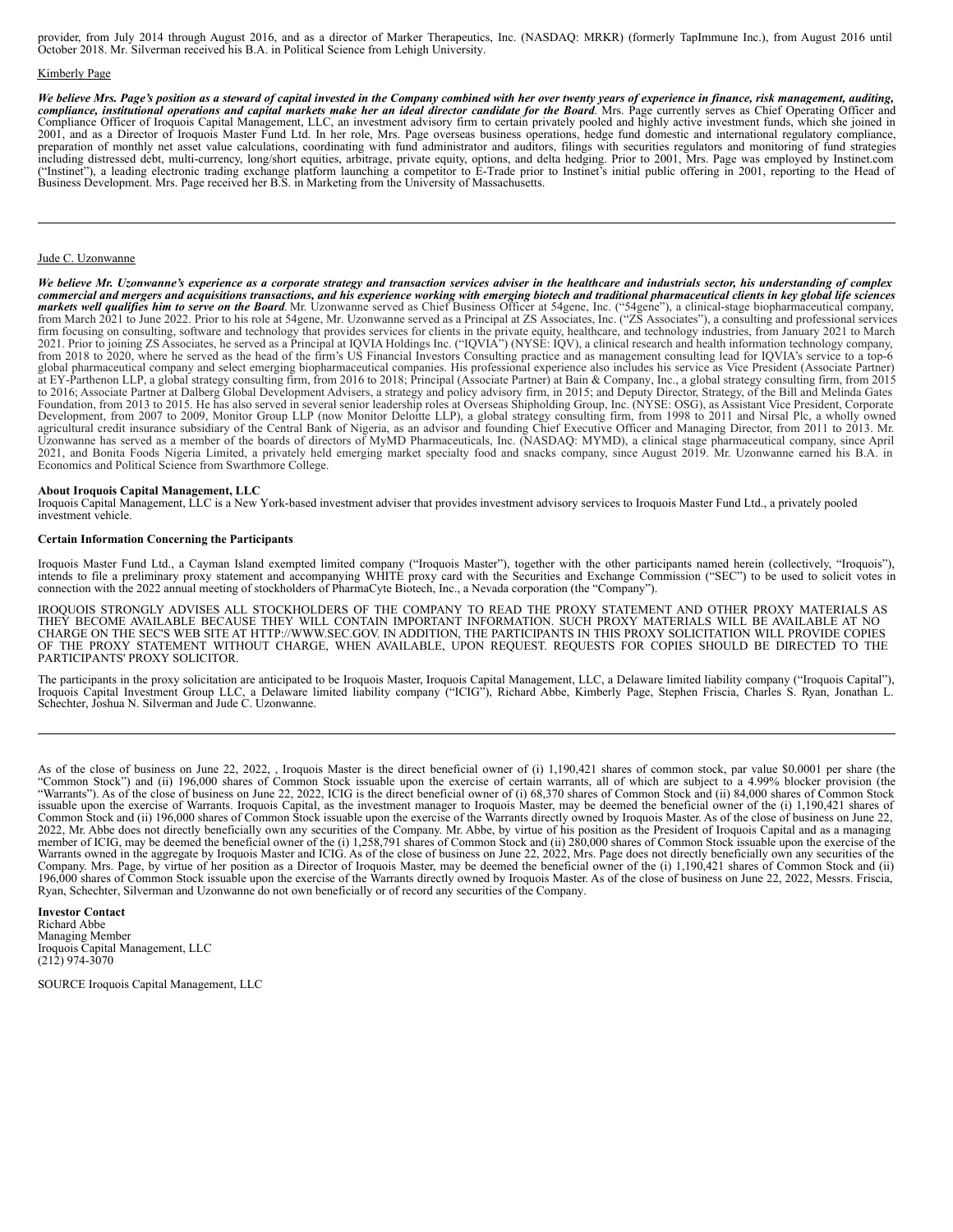provider, from July 2014 through August 2016, and as a director of Marker Therapeutics, Inc. (NASDAQ: MRKR) (formerly TapImmune Inc.), from August 2016 until October 2018. Mr. Silverman received his B.A. in Political Science from Lehigh University.

# Kimberly Page

We believe Mrs. Page's position as a steward of capital invested in the Company combined with her over twenty years of experience in finance, risk management, auditing, compliance, institutional operations and capital markets make her an ideal director candidate for the Board. Mrs. Page currently serves as Chief Operating Officer and Compliance Officer of Iroquois Capital Management, LLC, an investment advisory firm to certain privately pooled and highly active investment funds, which she joined in 2001, and as a Director of Iroquois Master Fund Ltd. In her role, Mrs. Page overseas business operations, hedge fund domestic and international regulatory compliance, preparation of monthly net asset value calculations, coordinating with fund administrator and auditors, filings with securities regulators and monitoring of fund strategies including distressed debt, multi-currency, long/short equities, arbitrage, private equity, options, and delta hedging. Prior to 2001, Mrs. Page was employed by Instinet.com<br>("Instinet"), a leading electronic trading exchan

## Jude C. Uzonwanne

We believe Mr. Uzonwanne's experience as a corporate strategy and transaction services adviser in the healthcare and industrials sector, his understanding of complex commercial and mergers and acquisitions transactions, and his experience working with emerging biotech and traditional pharmaceutical clients in key global life sciences markets well qualifies him to serve on the Board. Mr. Uzonwanne served as Chief Business Officer at 54gene, Inc. ("54gene"), a clinical-stage biopharmaceutical company,<br>from March 2021 to June 2022. Prior to his role at 54 firm focusing on consulting, software and technology that provides services for clients in the private equity, healthcare, and technology industries, from January 2021 to March 2021. Prior to joining ZS Associates, he serv from 2018 to 2020, where he served as the head of the firm's US Financial Investors Consulting practice and as management consulting lead for IQVIA's service to a top-6 global pharmaceutical company and select emerging biopharmaceutical companies. His professional experience also includes his service as Vice President (Associate Partner) at EY-Parthenon LLP, a global strategy consulting firm, from 2016 to 2018; Principal (Associate Partner) at Bain & Company, Inc., a global strategy consulting firm, from 2015 to 2016; Associate Partner at Dalberg Global Development Advisers, a strategy and policy advisory firm, in 2015; and Deputy Director, Strategy, of the Bill and Melinda Gates<br>Foundation, from 2013 to 2015. He has also serve agricultural credit insurance subsidiary of the Central Bank of Nigeria, as an advisor and founding Chief Executive Officer and Managing Director, from 2011 to 2013. Mr.<br>Uzonwanne has served as a member of the boards of di 2021, and Bonita Foods Nigeria Limited, a privately held emerging market specialty food and snacks company, since August 2019. Mr. Uzonwanne earned his B.A. in Economics and Political Science from Swarthmore College.

### **About Iroquois Capital Management, LLC**

Iroquois Capital Management, LLC is a New York-based investment adviser that provides investment advisory services to Iroquois Master Fund Ltd., a privately pooled investment vehicle.

### **Certain Information Concerning the Participants**

Iroquois Master Fund Ltd., a Cayman Island exempted limited company ("Iroquois Master"), together with the other participants named herein (collectively, "Iroquois"), intends to file a preliminary proxy statement and accom connection with the 2022 annual meeting of stockholders of PharmaCyte Biotech, Inc., a Nevada corporation (the "Company").

IROQUOIS STRONGLY ADVISES ALL STOCKHOLDERS OF THE COMPANY TO READ THE PROXY STATEMENT AND OTHER PROXY MATERIALS AS<br>THEY BECOME AVAILABLE BECAUSE THEY WILL CONTAIN IMPORTANT INFORMATION. SUCH PROXY MATERIALS WILL BE AVAILAB CHARGE ON THE SEC'S WEB SITE AT HTTP://WWW.SEC.GOV. IN ADDITION, THE PARTICIPANTS IN THIS PROXY SOLICITATION WILL PROVIDE COPIES<br>OF THE PROXY STATEMENT WITHOUT CHARGE, WHEN AVAILABLE, UPON REQUEST. REQUESTS FOR COPIES SHOU PARTICIPANTS' PROXY SOLICITOR.

The participants in the proxy solicitation are anticipated to be Iroquois Master, Iroquois Capital Management, LLC, a Delaware limited liability company ("Iroquois Capital"), Iroquois Capital Investment Group LLC, a Delawa

As of the close of business on June 22, 2022, , Iroquois Master is the direct beneficial owner of (i) 1,190,421 shares of common stock, par value \$0.0001 per share (the "Common Stock") and (ii) 196,000 shares of Common Sto "Warrants"). As of the close of business on June 22, 2022, ICIG is the direct beneficial owner of (i) 68,370 shares of Common Stock and (ii) 84,000 shares of Common Stock issuable upon the exercise of Warrants. Iroquois Capital, as the investment manager to Iroquois Master, may be deemed the beneficial owner of the (i) 1,190,421 shares of Common Stock and (ii) 196,000 shares of Common Stock 2022, Mr. Abbe does not directly beneficially own any securities of the Company. Mr. Abbe, by virtue of his position as the President of Iroquois Capital and as a managing member of ICIG, may be deemed the beneficial owner Warrants owned in the aggregate by Iroquois Master and ICIG. As of the close of business on June 22, 2022, Mrs. Page does not directly beneficially own any securities of the Company. Mrs. Page, by virtue of her position as a Director of Iroquois Master, may be deemed the beneficial owner of the (i) 1,190,421 shares of Common Stock and (ii) 196,000 shares of Common Stock and (ii) 196,000 shares Ryan, Schechter, Silverman and Uzonwanne do not own beneficially or of record any securities of the Company.

**Investor Contact** Richard Abbe Managing Member Iroquois Capital Management, LLC (212) 974-3070

SOURCE Iroquois Capital Management, LLC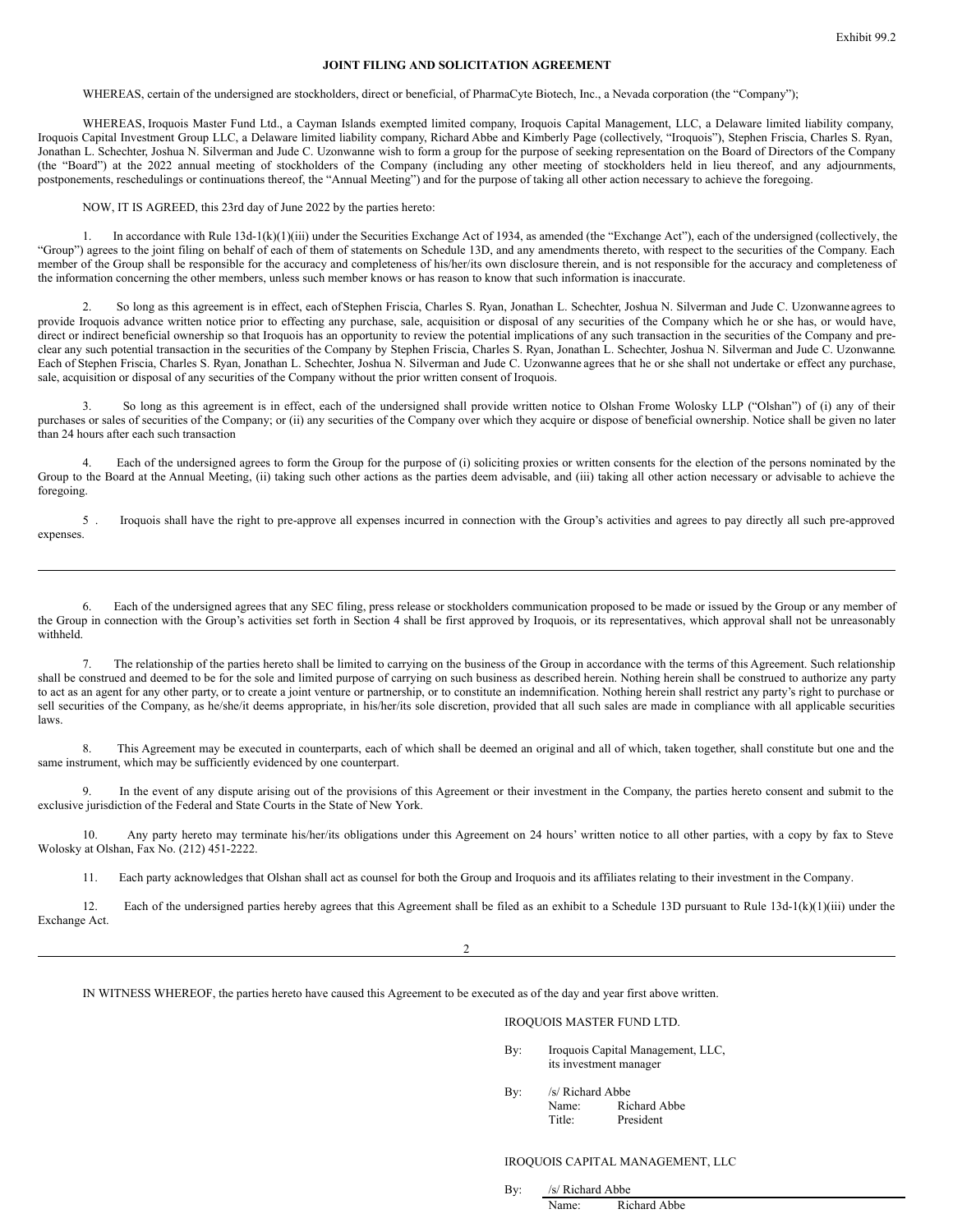# **JOINT FILING AND SOLICITATION AGREEMENT**

WHEREAS, certain of the undersigned are stockholders, direct or beneficial, of PharmaCyte Biotech, Inc., a Nevada corporation (the "Company");

WHEREAS, Iroquois Master Fund Ltd., a Cayman Islands exempted limited company, Iroquois Capital Management, LLC, a Delaware limited liability company, Iroquois Capital Investment Group LLC, a Delaware limited liability company, Richard Abbe and Kimberly Page (collectively, "Iroquois"), Stephen Friscia, Charles S. Ryan, Jonathan L. Schechter, Joshua N. Silverman and Jude C. Uzonwanne wish to form a group for the purpose of seeking representation on the Board of Directors of the Company (the "Board") at the 2022 annual meeting of stockholders of the Company (including any other meeting of stockholders held in lieu thereof, and any adjournments, postponements, reschedulings or continuations thereof, the "Annual Meeting") and for the purpose of taking all other action necessary to achieve the foregoing.

NOW, IT IS AGREED, this 23rd day of June 2022 by the parties hereto:

1. In accordance with Rule 13d-1(k)(1)(iii) under the Securities Exchange Act of 1934, as amended (the "Exchange Act"), each of the undersigned (collectively, the "Group") agrees to the joint filing on behalf of each of them of statements on Schedule 13D, and any amendments thereto, with respect to the securities of the Company. Each member of the Group shall be responsible for the accuracy and completeness of his/her/its own disclosure therein, and is not responsible for the accuracy and completeness of the information concerning the other members, unless such member knows or has reason to know that such information is inaccurate.

2. So long as this agreement is in effect, each ofStephen Friscia, Charles S. Ryan, Jonathan L. Schechter, Joshua N. Silverman and Jude C. Uzonwanne agrees to provide Iroquois advance written notice prior to effecting any purchase, sale, acquisition or disposal of any securities of the Company which he or she has, or would have, direct or indirect beneficial ownership so that Iroquois has an opportunity to review the potential implications of any such transaction in the securities of the Company and preclear any such potential transaction in the securities of the Company by Stephen Friscia, Charles S. Ryan, Jonathan L. Schechter, Joshua N. Silverman and Jude C. Uzonwanne. Each of Stephen Friscia, Charles S. Ryan, Jonathan L. Schechter, Joshua N. Silverman and Jude C. Uzonwanne agrees that he or she shall not undertake or effect any purchase, sale, acquisition or disposal of any securities of the Company without the prior written consent of Iroquois.

3. So long as this agreement is in effect, each of the undersigned shall provide written notice to Olshan Frome Wolosky LLP ("Olshan") of (i) any of their purchases or sales of securities of the Company; or (ii) any securities of the Company over which they acquire or dispose of beneficial ownership. Notice shall be given no later than 24 hours after each such transaction

4. Each of the undersigned agrees to form the Group for the purpose of (i) soliciting proxies or written consents for the election of the persons nominated by the Group to the Board at the Annual Meeting, (ii) taking such other actions as the parties deem advisable, and (iii) taking all other action necessary or advisable to achieve the foregoing.

5 . Iroquois shall have the right to pre-approve all expenses incurred in connection with the Group's activities and agrees to pay directly all such pre-approved expenses.

6. Each of the undersigned agrees that any SEC filing, press release or stockholders communication proposed to be made or issued by the Group or any member of the Group in connection with the Group's activities set forth in Section 4 shall be first approved by Iroquois, or its representatives, which approval shall not be unreasonably withheld.

7. The relationship of the parties hereto shall be limited to carrying on the business of the Group in accordance with the terms of this Agreement. Such relationship shall be construed and deemed to be for the sole and limited purpose of carrying on such business as described herein. Nothing herein shall be construed to authorize any party to act as an agent for any other party, or to create a joint venture or partnership, or to constitute an indemnification. Nothing herein shall restrict any party's right to purchase or sell securities of the Company, as he/she/it deems appropriate, in his/her/its sole discretion, provided that all such sales are made in compliance with all applicable securities laws.

8. This Agreement may be executed in counterparts, each of which shall be deemed an original and all of which, taken together, shall constitute but one and the same instrument, which may be sufficiently evidenced by one counterpart.

9. In the event of any dispute arising out of the provisions of this Agreement or their investment in the Company, the parties hereto consent and submit to the exclusive jurisdiction of the Federal and State Courts in the State of New York.

10. Any party hereto may terminate his/her/its obligations under this Agreement on 24 hours' written notice to all other parties, with a copy by fax to Steve Wolosky at Olshan, Fax No. (212) 451-2222.

11. Each party acknowledges that Olshan shall act as counsel for both the Group and Iroquois and its affiliates relating to their investment in the Company.

12. Each of the undersigned parties hereby agrees that this Agreement shall be filed as an exhibit to a Schedule 13D pursuant to Rule 13d-1(k)(1)(iii) under the Exchange Act.

 $\overline{2}$ 

IN WITNESS WHEREOF, the parties hereto have caused this Agreement to be executed as of the day and year first above written.

## IROQUOIS MASTER FUND LTD.

By: Iroquois Capital Management, LLC, its investment manager

By: /s/ Richard Abbe Name: Richard Abbe

Title: President

# IROQUOIS CAPITAL MANAGEMENT, LLC

By: /s/ Richard Abbe Name: Richard Abbe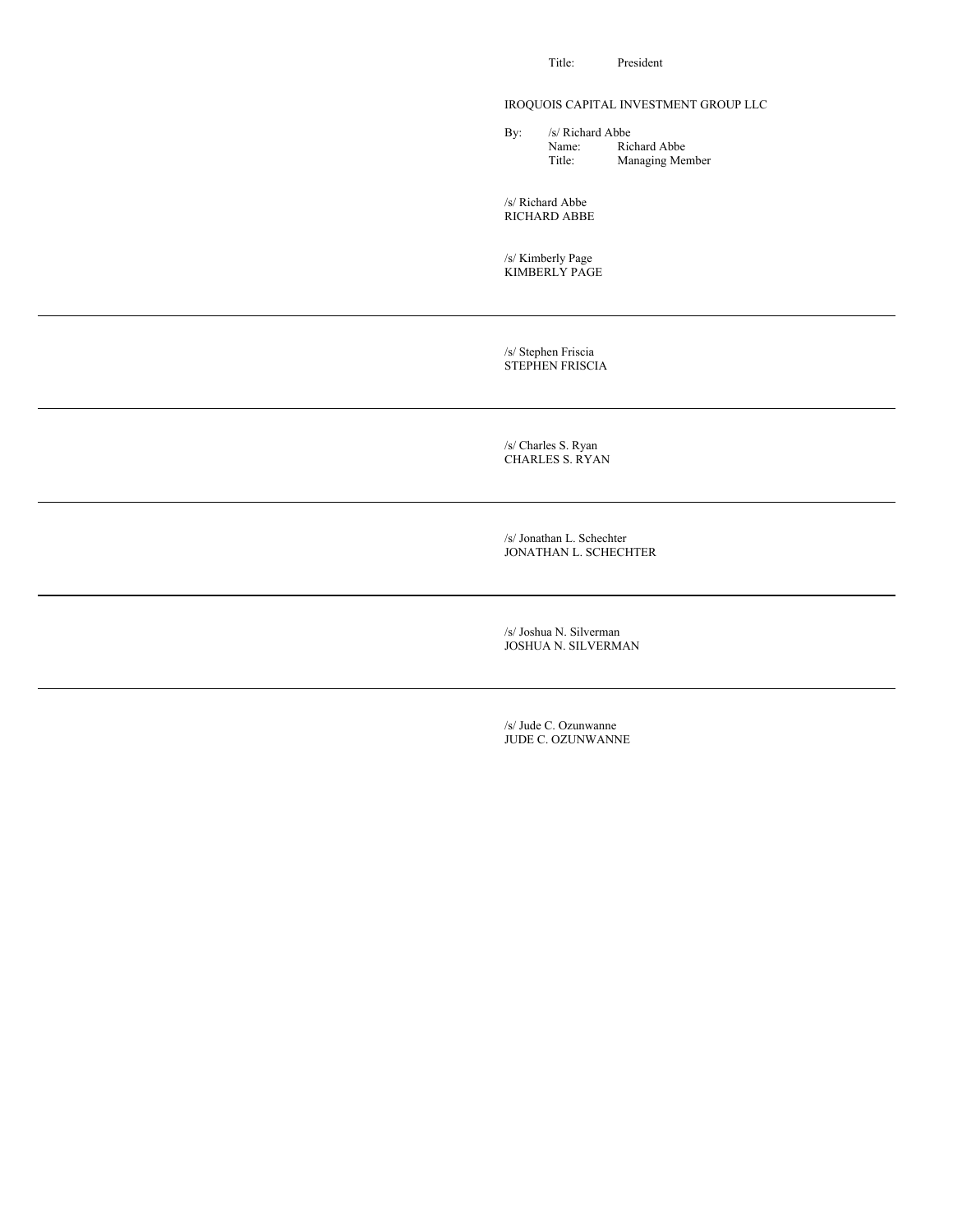Title: President

# IROQUOIS CAPITAL INVESTMENT GROUP LLC

By: /s/ Richard Abbe<br>Name: Ric Name: Richard Abbe<br>Title: Managing Mer Managing Member

/s/ Richard Abbe RICHARD ABBE

/s/ Kimberly Page KIMBERLY PAGE

/s/ Stephen Friscia STEPHEN FRISCIA

/s/ Charles S. Ryan CHARLES S. RYAN

/s/ Jonathan L. Schechter JONATHAN L. SCHECHTER

/s/ Joshua N. Silverman JOSHUA N. SILVERMAN

/s/ Jude C. Ozunwanne JUDE C. OZUNWANNE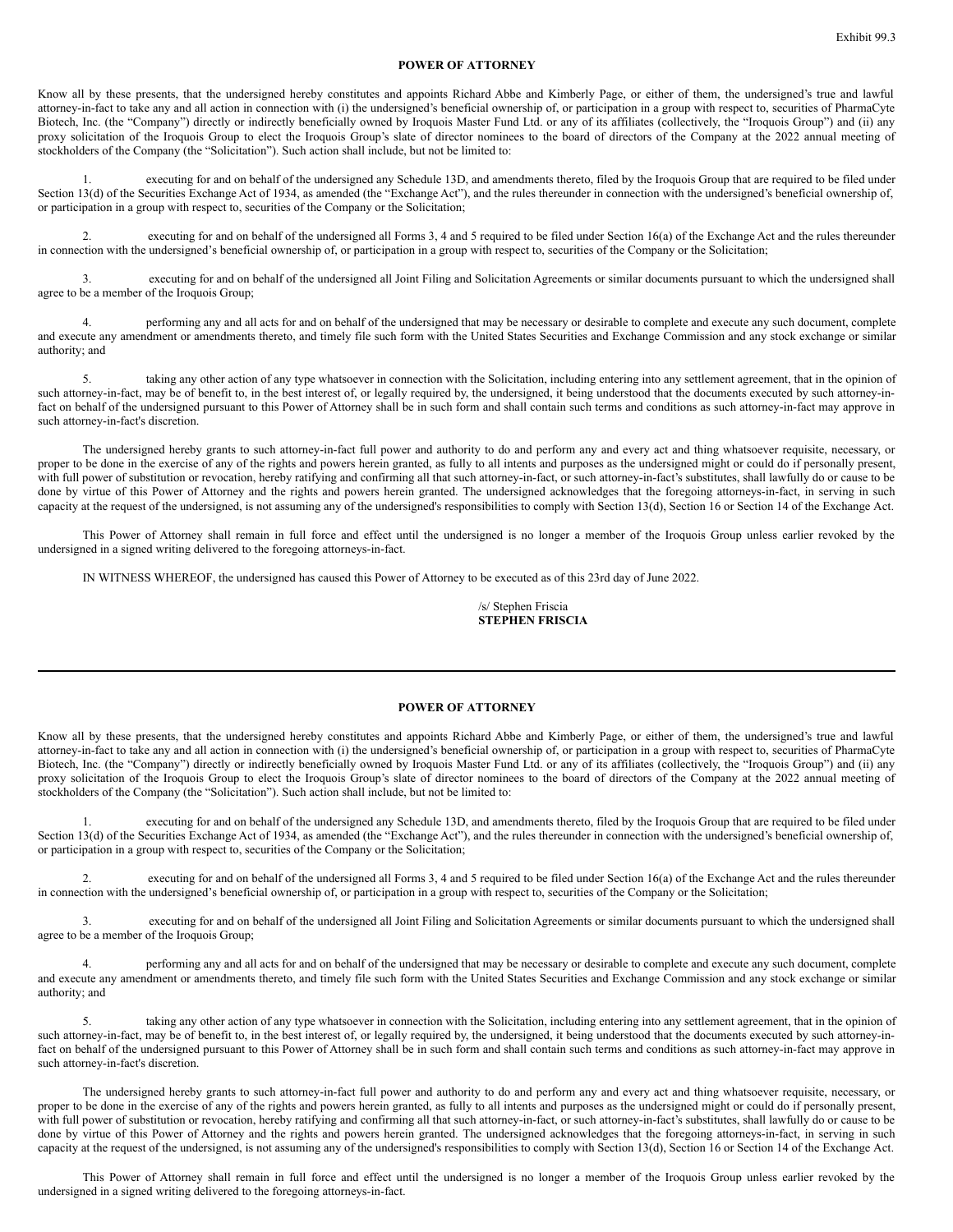# **POWER OF ATTORNEY**

Know all by these presents, that the undersigned hereby constitutes and appoints Richard Abbe and Kimberly Page, or either of them, the undersigned's true and lawful attorney-in-fact to take any and all action in connection with (i) the undersigned's beneficial ownership of, or participation in a group with respect to, securities of PharmaCyte Biotech, Inc. (the "Company") directly or indirectly beneficially owned by Iroquois Master Fund Ltd. or any of its affiliates (collectively, the "Iroquois Group") and (ii) any proxy solicitation of the Iroquois Group to elect the Iroquois Group's slate of director nominees to the board of directors of the Company at the 2022 annual meeting of stockholders of the Company (the "Solicitation"). Such action shall include, but not be limited to:

1. executing for and on behalf of the undersigned any Schedule 13D, and amendments thereto, filed by the Iroquois Group that are required to be filed under Section 13(d) of the Securities Exchange Act of 1934, as amended (the "Exchange Act"), and the rules thereunder in connection with the undersigned's beneficial ownership of, or participation in a group with respect to, securities of the Company or the Solicitation;

executing for and on behalf of the undersigned all Forms 3, 4 and 5 required to be filed under Section 16(a) of the Exchange Act and the rules thereunder in connection with the undersigned's beneficial ownership of, or participation in a group with respect to, securities of the Company or the Solicitation;

3. executing for and on behalf of the undersigned all Joint Filing and Solicitation Agreements or similar documents pursuant to which the undersigned shall agree to be a member of the Iroquois Group;

4. performing any and all acts for and on behalf of the undersigned that may be necessary or desirable to complete and execute any such document, complete and execute any amendment or amendments thereto, and timely file such form with the United States Securities and Exchange Commission and any stock exchange or similar authority; and

5. taking any other action of any type whatsoever in connection with the Solicitation, including entering into any settlement agreement, that in the opinion of such attorney-in-fact, may be of benefit to, in the best interest of, or legally required by, the undersigned, it being understood that the documents executed by such attorney-infact on behalf of the undersigned pursuant to this Power of Attorney shall be in such form and shall contain such terms and conditions as such attorney-in-fact may approve in such attorney-in-fact's discretion.

The undersigned hereby grants to such attorney-in-fact full power and authority to do and perform any and every act and thing whatsoever requisite, necessary, or proper to be done in the exercise of any of the rights and powers herein granted, as fully to all intents and purposes as the undersigned might or could do if personally present, with full power of substitution or revocation, hereby ratifying and confirming all that such attorney-in-fact, or such attorney-in-fact's substitutes, shall lawfully do or cause to be done by virtue of this Power of Attorney and the rights and powers herein granted. The undersigned acknowledges that the foregoing attorneys-in-fact, in serving in such capacity at the request of the undersigned, is not assuming any of the undersigned's responsibilities to comply with Section 13(d), Section 16 or Section 14 of the Exchange Act.

This Power of Attorney shall remain in full force and effect until the undersigned is no longer a member of the Iroquois Group unless earlier revoked by the undersigned in a signed writing delivered to the foregoing attorneys-in-fact.

IN WITNESS WHEREOF, the undersigned has caused this Power of Attorney to be executed as of this 23rd day of June 2022.

/s/ Stephen Friscia **STEPHEN FRISCIA**

# **POWER OF ATTORNEY**

Know all by these presents, that the undersigned hereby constitutes and appoints Richard Abbe and Kimberly Page, or either of them, the undersigned's true and lawful attorney-in-fact to take any and all action in connection with (i) the undersigned's beneficial ownership of, or participation in a group with respect to, securities of PharmaCyte Biotech, Inc. (the "Company") directly or indirectly beneficially owned by Iroquois Master Fund Ltd. or any of its affiliates (collectively, the "Iroquois Group") and (ii) any proxy solicitation of the Iroquois Group to elect the Iroquois Group's slate of director nominees to the board of directors of the Company at the 2022 annual meeting of stockholders of the Company (the "Solicitation"). Such action shall include, but not be limited to:

1. executing for and on behalf of the undersigned any Schedule 13D, and amendments thereto, filed by the Iroquois Group that are required to be filed under Section 13(d) of the Securities Exchange Act of 1934, as amended (the "Exchange Act"), and the rules thereunder in connection with the undersigned's beneficial ownership of, or participation in a group with respect to, securities of the Company or the Solicitation;

executing for and on behalf of the undersigned all Forms 3, 4 and 5 required to be filed under Section 16(a) of the Exchange Act and the rules thereunder in connection with the undersigned's beneficial ownership of, or participation in a group with respect to, securities of the Company or the Solicitation;

3. executing for and on behalf of the undersigned all Joint Filing and Solicitation Agreements or similar documents pursuant to which the undersigned shall agree to be a member of the Iroquois Group;

4. performing any and all acts for and on behalf of the undersigned that may be necessary or desirable to complete and execute any such document, complete and execute any amendment or amendments thereto, and timely file such form with the United States Securities and Exchange Commission and any stock exchange or similar authority; and

5. taking any other action of any type whatsoever in connection with the Solicitation, including entering into any settlement agreement, that in the opinion of such attorney-in-fact, may be of benefit to, in the best interest of, or legally required by, the undersigned, it being understood that the documents executed by such attorney-infact on behalf of the undersigned pursuant to this Power of Attorney shall be in such form and shall contain such terms and conditions as such attorney-in-fact may approve in such attorney-in-fact's discretion.

The undersigned hereby grants to such attorney-in-fact full power and authority to do and perform any and every act and thing whatsoever requisite, necessary, or proper to be done in the exercise of any of the rights and powers herein granted, as fully to all intents and purposes as the undersigned might or could do if personally present, with full power of substitution or revocation, hereby ratifying and confirming all that such attorney-in-fact, or such attorney-in-fact's substitutes, shall lawfully do or cause to be done by virtue of this Power of Attorney and the rights and powers herein granted. The undersigned acknowledges that the foregoing attorneys-in-fact, in serving in such capacity at the request of the undersigned, is not assuming any of the undersigned's responsibilities to comply with Section 13(d), Section 16 or Section 14 of the Exchange Act.

This Power of Attorney shall remain in full force and effect until the undersigned is no longer a member of the Iroquois Group unless earlier revoked by the undersigned in a signed writing delivered to the foregoing attorneys-in-fact.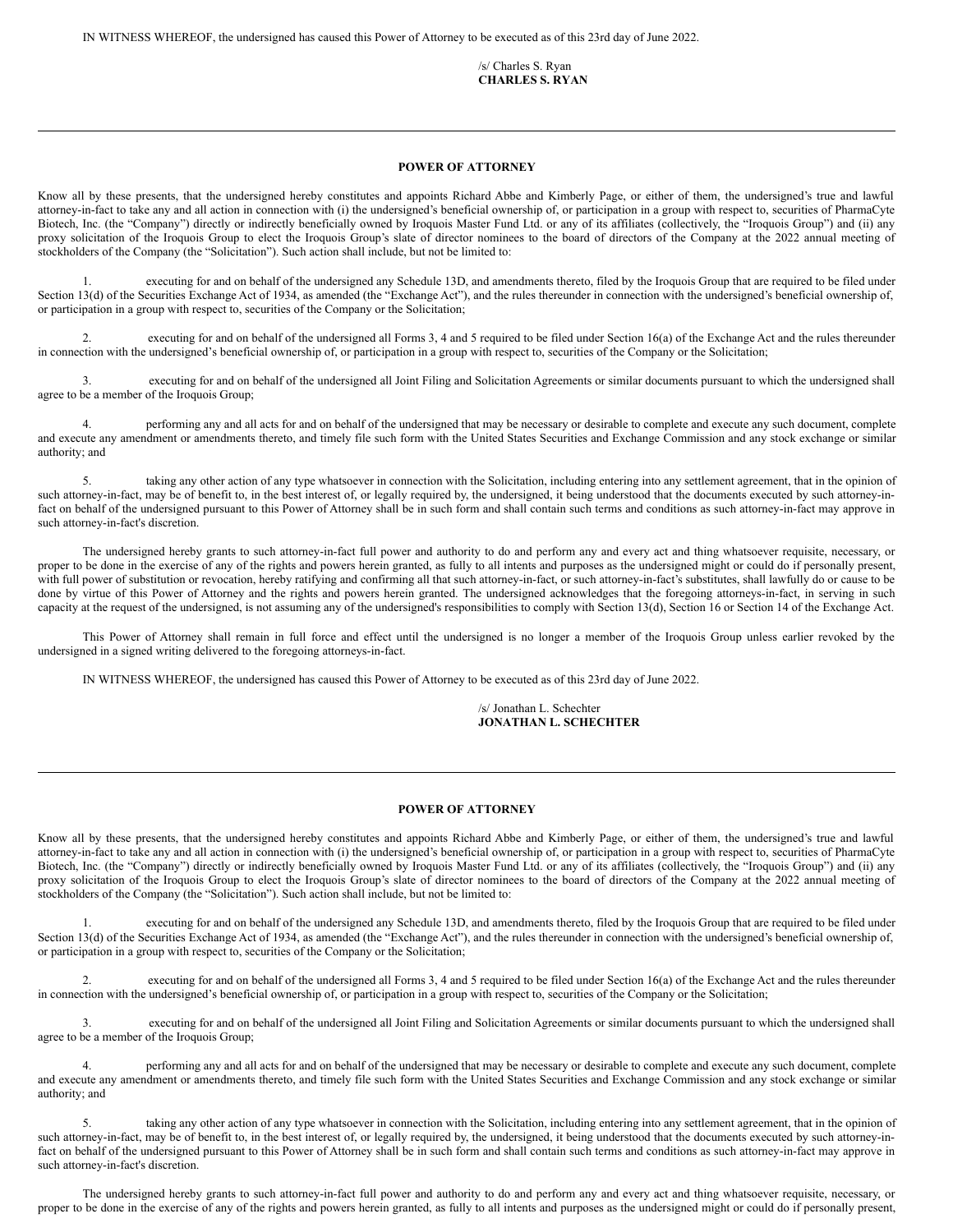IN WITNESS WHEREOF, the undersigned has caused this Power of Attorney to be executed as of this 23rd day of June 2022.

/s/ Charles S. Ryan **CHARLES S. RYAN**

### **POWER OF ATTORNEY**

Know all by these presents, that the undersigned hereby constitutes and appoints Richard Abbe and Kimberly Page, or either of them, the undersigned's true and lawful attorney-in-fact to take any and all action in connection with (i) the undersigned's beneficial ownership of, or participation in a group with respect to, securities of PharmaCyte Biotech, Inc. (the "Company") directly or indirectly beneficially owned by Iroquois Master Fund Ltd. or any of its affiliates (collectively, the "Iroquois Group") and (ii) any proxy solicitation of the Iroquois Group to elect the Iroquois Group's slate of director nominees to the board of directors of the Company at the 2022 annual meeting of stockholders of the Company (the "Solicitation"). Such action shall include, but not be limited to:

1. executing for and on behalf of the undersigned any Schedule 13D, and amendments thereto, filed by the Iroquois Group that are required to be filed under Section 13(d) of the Securities Exchange Act of 1934, as amended (the "Exchange Act"), and the rules thereunder in connection with the undersigned's beneficial ownership of, or participation in a group with respect to, securities of the Company or the Solicitation;

2. executing for and on behalf of the undersigned all Forms 3, 4 and 5 required to be filed under Section 16(a) of the Exchange Act and the rules thereunder in connection with the undersigned's beneficial ownership of, or participation in a group with respect to, securities of the Company or the Solicitation;

3. executing for and on behalf of the undersigned all Joint Filing and Solicitation Agreements or similar documents pursuant to which the undersigned shall agree to be a member of the Iroquois Group;

4. performing any and all acts for and on behalf of the undersigned that may be necessary or desirable to complete and execute any such document, complete and execute any amendment or amendments thereto, and timely file such form with the United States Securities and Exchange Commission and any stock exchange or similar authority; and

5. taking any other action of any type whatsoever in connection with the Solicitation, including entering into any settlement agreement, that in the opinion of such attorney-in-fact, may be of benefit to, in the best interest of, or legally required by, the undersigned, it being understood that the documents executed by such attorney-infact on behalf of the undersigned pursuant to this Power of Attorney shall be in such form and shall contain such terms and conditions as such attorney-in-fact may approve in such attorney-in-fact's discretion.

The undersigned hereby grants to such attorney-in-fact full power and authority to do and perform any and every act and thing whatsoever requisite, necessary, or proper to be done in the exercise of any of the rights and powers herein granted, as fully to all intents and purposes as the undersigned might or could do if personally present, with full power of substitution or revocation, hereby ratifying and confirming all that such attorney-in-fact, or such attorney-in-fact's substitutes, shall lawfully do or cause to be done by virtue of this Power of Attorney and the rights and powers herein granted. The undersigned acknowledges that the foregoing attorneys-in-fact, in serving in such capacity at the request of the undersigned, is not assuming any of the undersigned's responsibilities to comply with Section 13(d), Section 16 or Section 14 of the Exchange Act.

This Power of Attorney shall remain in full force and effect until the undersigned is no longer a member of the Iroquois Group unless earlier revoked by the undersigned in a signed writing delivered to the foregoing attorneys-in-fact.

IN WITNESS WHEREOF, the undersigned has caused this Power of Attorney to be executed as of this 23rd day of June 2022.

/s/ Jonathan L. Schechter **JONATHAN L. SCHECHTER**

## **POWER OF ATTORNEY**

Know all by these presents, that the undersigned hereby constitutes and appoints Richard Abbe and Kimberly Page, or either of them, the undersigned's true and lawful attorney-in-fact to take any and all action in connection with (i) the undersigned's beneficial ownership of, or participation in a group with respect to, securities of PharmaCyte Biotech, Inc. (the "Company") directly or indirectly beneficially owned by Iroquois Master Fund Ltd. or any of its affiliates (collectively, the "Iroquois Group") and (ii) any proxy solicitation of the Iroquois Group to elect the Iroquois Group's slate of director nominees to the board of directors of the Company at the 2022 annual meeting of stockholders of the Company (the "Solicitation"). Such action shall include, but not be limited to:

executing for and on behalf of the undersigned any Schedule 13D, and amendments thereto, filed by the Iroquois Group that are required to be filed under Section 13(d) of the Securities Exchange Act of 1934, as amended (the "Exchange Act"), and the rules thereunder in connection with the undersigned's beneficial ownership of, or participation in a group with respect to, securities of the Company or the Solicitation;

2. executing for and on behalf of the undersigned all Forms 3, 4 and 5 required to be filed under Section 16(a) of the Exchange Act and the rules thereunder in connection with the undersigned's beneficial ownership of, or participation in a group with respect to, securities of the Company or the Solicitation;

3. executing for and on behalf of the undersigned all Joint Filing and Solicitation Agreements or similar documents pursuant to which the undersigned shall agree to be a member of the Iroquois Group;

4. performing any and all acts for and on behalf of the undersigned that may be necessary or desirable to complete and execute any such document, complete and execute any amendment or amendments thereto, and timely file such form with the United States Securities and Exchange Commission and any stock exchange or similar authority; and

5. taking any other action of any type whatsoever in connection with the Solicitation, including entering into any settlement agreement, that in the opinion of such attorney-in-fact, may be of benefit to, in the best interest of, or legally required by, the undersigned, it being understood that the documents executed by such attorney-infact on behalf of the undersigned pursuant to this Power of Attorney shall be in such form and shall contain such terms and conditions as such attorney-in-fact may approve in such attorney-in-fact's discretion.

The undersigned hereby grants to such attorney-in-fact full power and authority to do and perform any and every act and thing whatsoever requisite, necessary, or proper to be done in the exercise of any of the rights and powers herein granted, as fully to all intents and purposes as the undersigned might or could do if personally present,